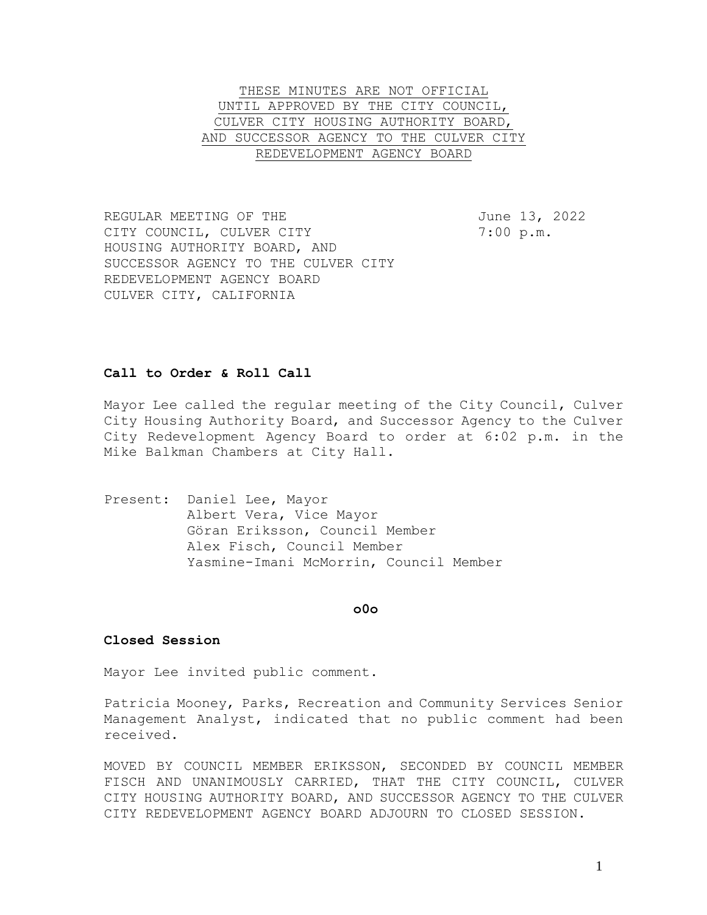THESE MINUTES ARE NOT OFFICIAL UNTIL APPROVED BY THE CITY COUNCIL, CULVER CITY HOUSING AUTHORITY BOARD, AND SUCCESSOR AGENCY TO THE CULVER CITY REDEVELOPMENT AGENCY BOARD

REGULAR MEETING OF THE **Fig. 100 SET 100 FM THE** June 13, 2022 CITY COUNCIL, CULVER CITY 7:00 p.m. HOUSING AUTHORITY BOARD, AND SUCCESSOR AGENCY TO THE CULVER CITY REDEVELOPMENT AGENCY BOARD CULVER CITY, CALIFORNIA

### **Call to Order & Roll Call**

Mayor Lee called the regular meeting of the City Council, Culver City Housing Authority Board, and Successor Agency to the Culver City Redevelopment Agency Board to order at 6:02 p.m. in the Mike Balkman Chambers at City Hall.

Present: Daniel Lee, Mayor Albert Vera, Vice Mayor Göran Eriksson, Council Member Alex Fisch, Council Member Yasmine-Imani McMorrin, Council Member

#### **o0o**

#### **Closed Session**

Mayor Lee invited public comment.

Patricia Mooney, Parks, Recreation and Community Services Senior Management Analyst, indicated that no public comment had been received.

MOVED BY COUNCIL MEMBER ERIKSSON, SECONDED BY COUNCIL MEMBER FISCH AND UNANIMOUSLY CARRIED, THAT THE CITY COUNCIL, CULVER CITY HOUSING AUTHORITY BOARD, AND SUCCESSOR AGENCY TO THE CULVER CITY REDEVELOPMENT AGENCY BOARD ADJOURN TO CLOSED SESSION.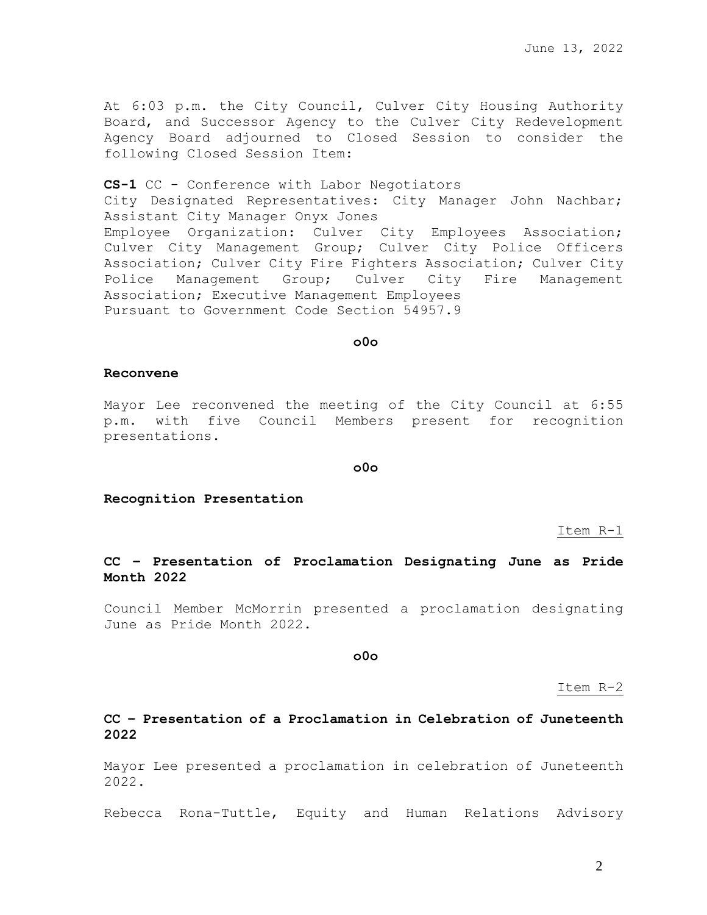At 6:03 p.m. the City Council, Culver City Housing Authority Board, and Successor Agency to the Culver City Redevelopment Agency Board adjourned to Closed Session to consider the following Closed Session Item:

**CS-1** CC - Conference with Labor Negotiators City Designated Representatives: City Manager John Nachbar; Assistant City Manager Onyx Jones Employee Organization: Culver City Employees Association; Culver City Management Group; Culver City Police Officers Association; Culver City Fire Fighters Association; Culver City Police Management Group; Culver City Fire Management Association; Executive Management Employees Pursuant to Government Code Section 54957.9

### **o0o**

### **Reconvene**

Mayor Lee reconvened the meeting of the City Council at 6:55 p.m. with five Council Members present for recognition presentations.

#### **o0o**

**Recognition Presentation**

Item R-1

**CC – Presentation of Proclamation Designating June as Pride Month 2022**

Council Member McMorrin presented a proclamation designating June as Pride Month 2022.

**o0o**

### Item R-2

# **CC – Presentation of a Proclamation in Celebration of Juneteenth 2022**

Mayor Lee presented a proclamation in celebration of Juneteenth 2022.

Rebecca Rona-Tuttle, Equity and Human Relations Advisory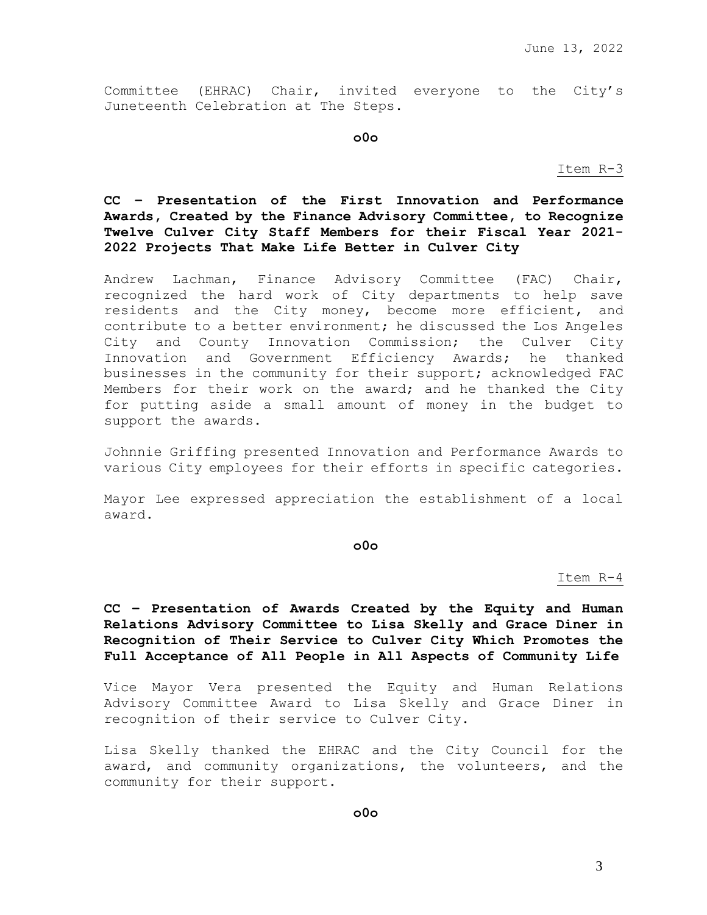Committee (EHRAC) Chair, invited everyone to the City's Juneteenth Celebration at The Steps.

**o0o**

Item R-3

# **CC – Presentation of the First Innovation and Performance Awards, Created by the Finance Advisory Committee, to Recognize Twelve Culver City Staff Members for their Fiscal Year 2021- 2022 Projects That Make Life Better in Culver City**

Andrew Lachman, Finance Advisory Committee (FAC) Chair, recognized the hard work of City departments to help save residents and the City money, become more efficient, and contribute to a better environment; he discussed the Los Angeles City and County Innovation Commission; the Culver City Innovation and Government Efficiency Awards; he thanked businesses in the community for their support; acknowledged FAC Members for their work on the award; and he thanked the City for putting aside a small amount of money in the budget to support the awards.

Johnnie Griffing presented Innovation and Performance Awards to various City employees for their efforts in specific categories.

Mayor Lee expressed appreciation the establishment of a local award.

**o0o**

Item R-4

**CC – Presentation of Awards Created by the Equity and Human Relations Advisory Committee to Lisa Skelly and Grace Diner in Recognition of Their Service to Culver City Which Promotes the Full Acceptance of All People in All Aspects of Community Life**

Vice Mayor Vera presented the Equity and Human Relations Advisory Committee Award to Lisa Skelly and Grace Diner in recognition of their service to Culver City.

Lisa Skelly thanked the EHRAC and the City Council for the award, and community organizations, the volunteers, and the community for their support.

**o0o**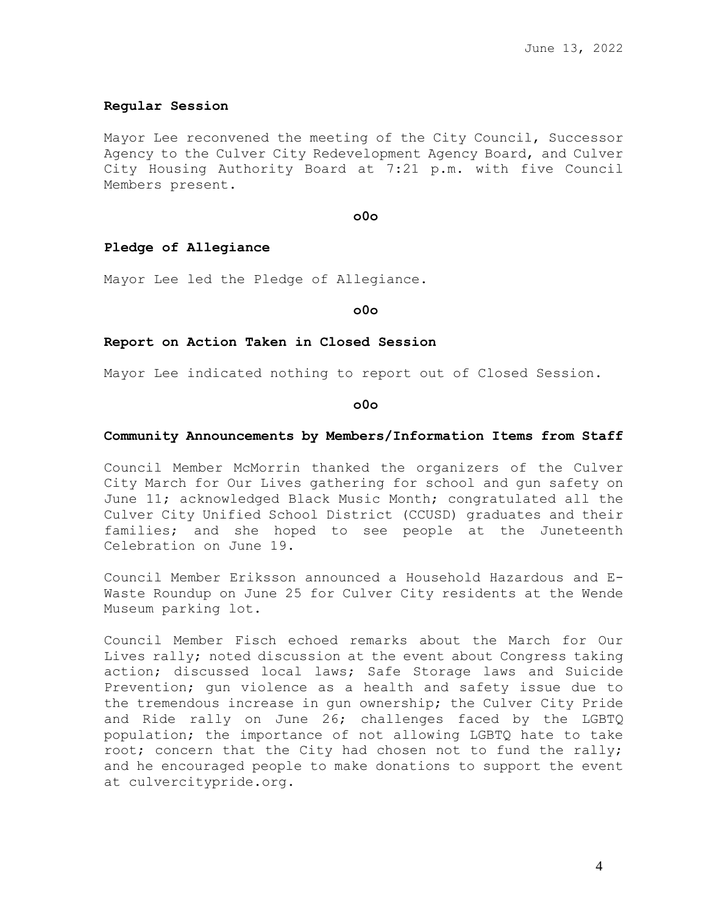## **Regular Session**

Mayor Lee reconvened the meeting of the City Council, Successor Agency to the Culver City Redevelopment Agency Board, and Culver City Housing Authority Board at 7:21 p.m. with five Council Members present.

**o0o**

## **Pledge of Allegiance**

Mayor Lee led the Pledge of Allegiance.

**o0o**

#### **Report on Action Taken in Closed Session**

Mayor Lee indicated nothing to report out of Closed Session.

**o0o**

#### **Community Announcements by Members/Information Items from Staff**

Council Member McMorrin thanked the organizers of the Culver City March for Our Lives gathering for school and gun safety on June 11; acknowledged Black Music Month; congratulated all the Culver City Unified School District (CCUSD) graduates and their families; and she hoped to see people at the Juneteenth Celebration on June 19.

Council Member Eriksson announced a Household Hazardous and E-Waste Roundup on June 25 for Culver City residents at the Wende Museum parking lot.

Council Member Fisch echoed remarks about the March for Our Lives rally; noted discussion at the event about Congress taking action; discussed local laws; Safe Storage laws and Suicide Prevention; gun violence as a health and safety issue due to the tremendous increase in gun ownership; the Culver City Pride and Ride rally on June 26; challenges faced by the LGBTQ population; the importance of not allowing LGBTQ hate to take root; concern that the City had chosen not to fund the rally; and he encouraged people to make donations to support the event at culvercitypride.org.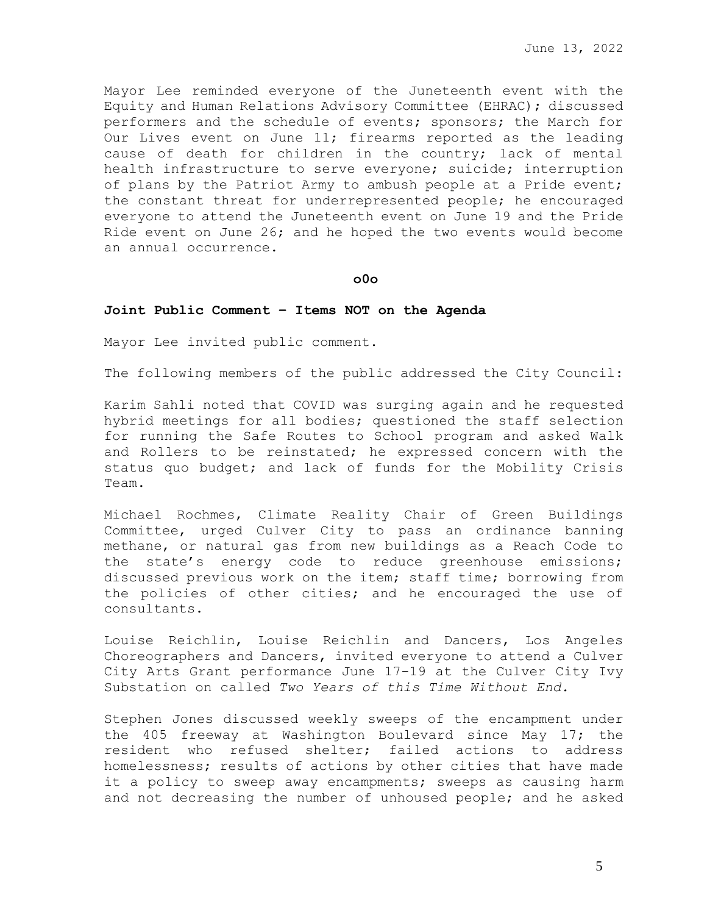Mayor Lee reminded everyone of the Juneteenth event with the Equity and Human Relations Advisory Committee (EHRAC); discussed performers and the schedule of events; sponsors; the March for Our Lives event on June 11; firearms reported as the leading cause of death for children in the country; lack of mental health infrastructure to serve everyone; suicide; interruption of plans by the Patriot Army to ambush people at a Pride event; the constant threat for underrepresented people; he encouraged everyone to attend the Juneteenth event on June 19 and the Pride Ride event on June 26; and he hoped the two events would become an annual occurrence.

### **o0o**

### **Joint Public Comment – Items NOT on the Agenda**

Mayor Lee invited public comment.

The following members of the public addressed the City Council:

Karim Sahli noted that COVID was surging again and he requested hybrid meetings for all bodies; questioned the staff selection for running the Safe Routes to School program and asked Walk and Rollers to be reinstated; he expressed concern with the status quo budget; and lack of funds for the Mobility Crisis Team.

Michael Rochmes, Climate Reality Chair of Green Buildings Committee, urged Culver City to pass an ordinance banning methane, or natural gas from new buildings as a Reach Code to the state's energy code to reduce greenhouse emissions; discussed previous work on the item; staff time; borrowing from the policies of other cities; and he encouraged the use of consultants.

Louise Reichlin, Louise Reichlin and Dancers, Los Angeles Choreographers and Dancers, invited everyone to attend a Culver City Arts Grant performance June 17-19 at the Culver City Ivy Substation on called *Two Years of this Time Without End.*

Stephen Jones discussed weekly sweeps of the encampment under the 405 freeway at Washington Boulevard since May 17; the resident who refused shelter; failed actions to address homelessness; results of actions by other cities that have made it a policy to sweep away encampments; sweeps as causing harm and not decreasing the number of unhoused people; and he asked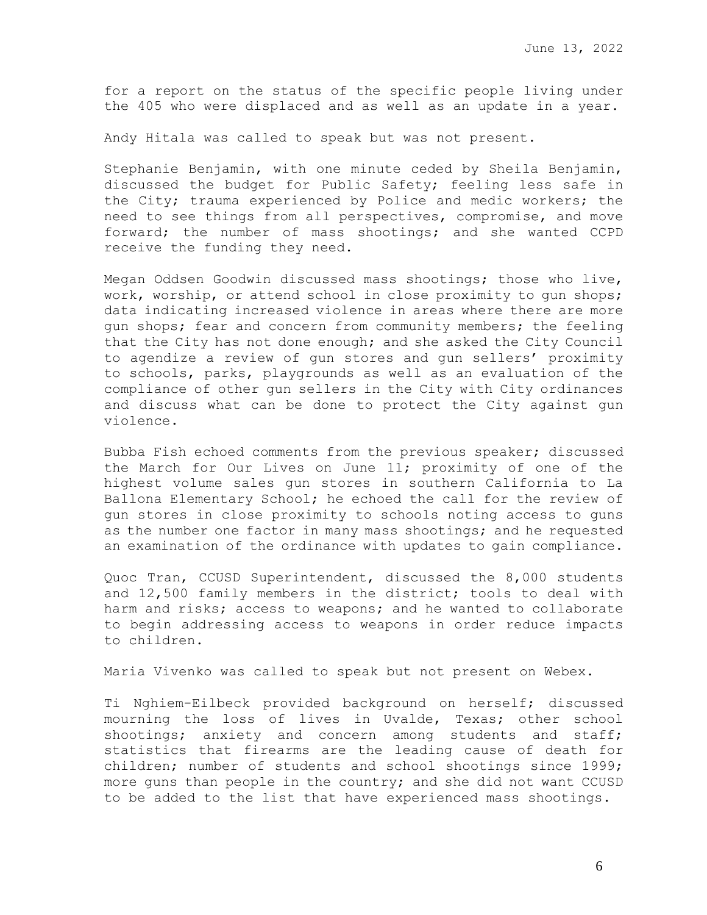for a report on the status of the specific people living under the 405 who were displaced and as well as an update in a year.

Andy Hitala was called to speak but was not present.

Stephanie Benjamin, with one minute ceded by Sheila Benjamin, discussed the budget for Public Safety; feeling less safe in the City; trauma experienced by Police and medic workers; the need to see things from all perspectives, compromise, and move forward; the number of mass shootings; and she wanted CCPD receive the funding they need.

Megan Oddsen Goodwin discussed mass shootings; those who live, work, worship, or attend school in close proximity to qun shops; data indicating increased violence in areas where there are more gun shops; fear and concern from community members; the feeling that the City has not done enough; and she asked the City Council to agendize a review of gun stores and gun sellers' proximity to schools, parks, playgrounds as well as an evaluation of the compliance of other gun sellers in the City with City ordinances and discuss what can be done to protect the City against gun violence.

Bubba Fish echoed comments from the previous speaker; discussed the March for Our Lives on June 11; proximity of one of the highest volume sales gun stores in southern California to La Ballona Elementary School; he echoed the call for the review of gun stores in close proximity to schools noting access to guns as the number one factor in many mass shootings; and he requested an examination of the ordinance with updates to gain compliance.

Quoc Tran, CCUSD Superintendent, discussed the 8,000 students and 12,500 family members in the district; tools to deal with harm and risks; access to weapons; and he wanted to collaborate to begin addressing access to weapons in order reduce impacts to children.

Maria Vivenko was called to speak but not present on Webex.

Ti Nghiem-Eilbeck provided background on herself; discussed mourning the loss of lives in Uvalde, Texas; other school shootings; anxiety and concern among students and staff; statistics that firearms are the leading cause of death for children; number of students and school shootings since 1999; more guns than people in the country; and she did not want CCUSD to be added to the list that have experienced mass shootings.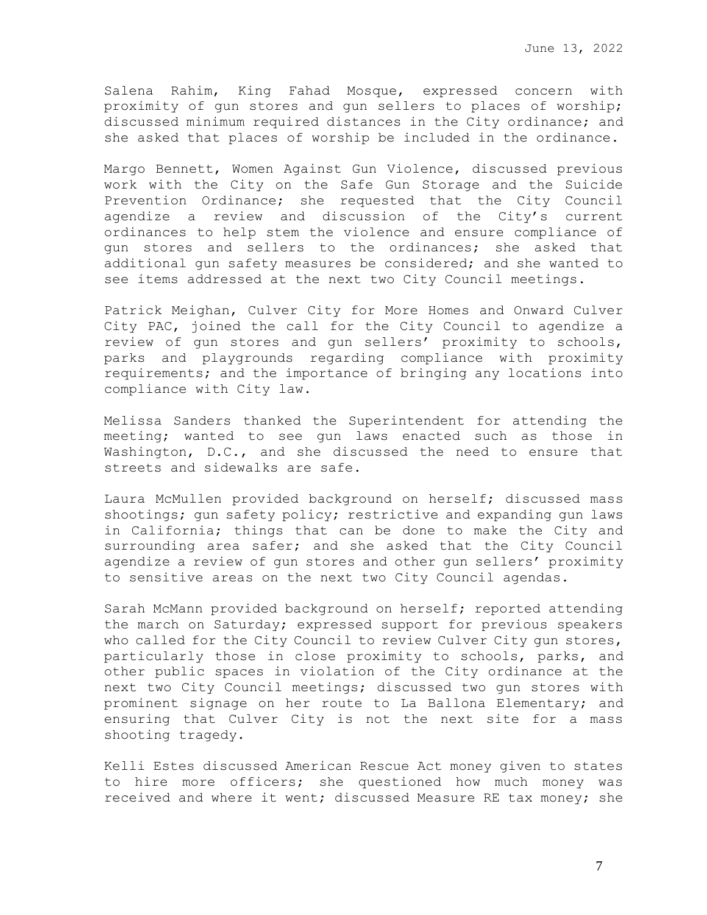Salena Rahim, King Fahad Mosque, expressed concern with proximity of gun stores and gun sellers to places of worship; discussed minimum required distances in the City ordinance; and she asked that places of worship be included in the ordinance.

Margo Bennett, Women Against Gun Violence, discussed previous work with the City on the Safe Gun Storage and the Suicide Prevention Ordinance; she requested that the City Council agendize a review and discussion of the City's current ordinances to help stem the violence and ensure compliance of gun stores and sellers to the ordinances; she asked that additional gun safety measures be considered; and she wanted to see items addressed at the next two City Council meetings.

Patrick Meighan, Culver City for More Homes and Onward Culver City PAC, joined the call for the City Council to agendize a review of gun stores and gun sellers' proximity to schools, parks and playgrounds regarding compliance with proximity requirements; and the importance of bringing any locations into compliance with City law.

Melissa Sanders thanked the Superintendent for attending the meeting; wanted to see gun laws enacted such as those in Washington, D.C., and she discussed the need to ensure that streets and sidewalks are safe.

Laura McMullen provided background on herself; discussed mass shootings; gun safety policy; restrictive and expanding gun laws in California; things that can be done to make the City and surrounding area safer; and she asked that the City Council agendize a review of gun stores and other gun sellers' proximity to sensitive areas on the next two City Council agendas.

Sarah McMann provided background on herself; reported attending the march on Saturday; expressed support for previous speakers who called for the City Council to review Culver City gun stores, particularly those in close proximity to schools, parks, and other public spaces in violation of the City ordinance at the next two City Council meetings; discussed two gun stores with prominent signage on her route to La Ballona Elementary; and ensuring that Culver City is not the next site for a mass shooting tragedy.

Kelli Estes discussed American Rescue Act money given to states to hire more officers; she questioned how much money was received and where it went; discussed Measure RE tax money; she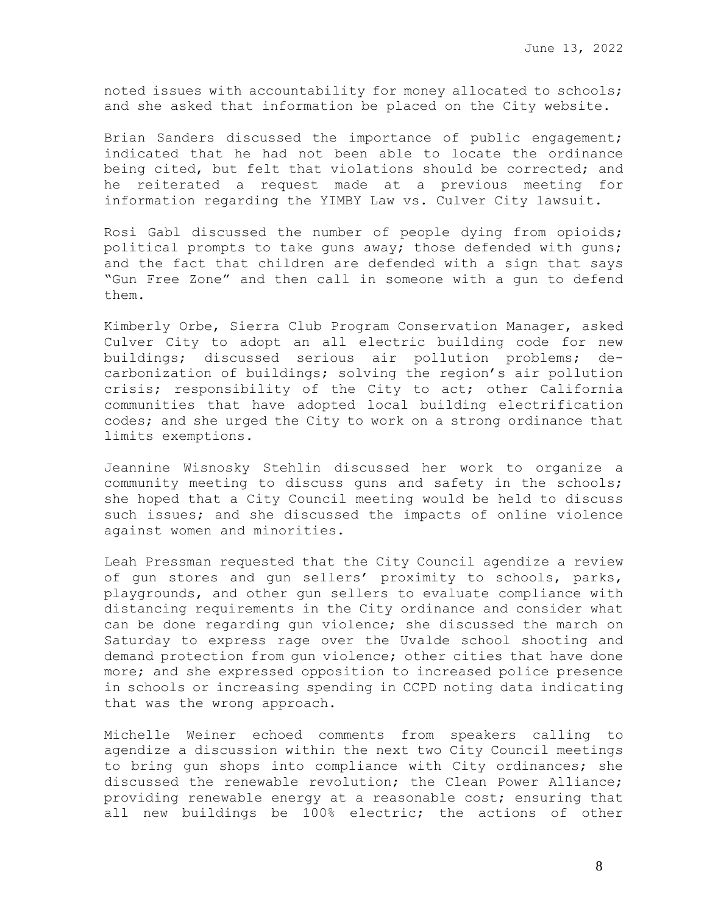noted issues with accountability for money allocated to schools; and she asked that information be placed on the City website.

Brian Sanders discussed the importance of public engagement; indicated that he had not been able to locate the ordinance being cited, but felt that violations should be corrected; and he reiterated a request made at a previous meeting for information regarding the YIMBY Law vs. Culver City lawsuit.

Rosi Gabl discussed the number of people dying from opioids; political prompts to take guns away; those defended with guns; and the fact that children are defended with a sign that says "Gun Free Zone" and then call in someone with a gun to defend them.

Kimberly Orbe, Sierra Club Program Conservation Manager, asked Culver City to adopt an all electric building code for new buildings; discussed serious air pollution problems; decarbonization of buildings; solving the region's air pollution crisis; responsibility of the City to act; other California communities that have adopted local building electrification codes; and she urged the City to work on a strong ordinance that limits exemptions.

Jeannine Wisnosky Stehlin discussed her work to organize a community meeting to discuss guns and safety in the schools; she hoped that a City Council meeting would be held to discuss such issues; and she discussed the impacts of online violence against women and minorities.

Leah Pressman requested that the City Council agendize a review of gun stores and gun sellers' proximity to schools, parks, playgrounds, and other gun sellers to evaluate compliance with distancing requirements in the City ordinance and consider what can be done regarding gun violence; she discussed the march on Saturday to express rage over the Uvalde school shooting and demand protection from gun violence; other cities that have done more; and she expressed opposition to increased police presence in schools or increasing spending in CCPD noting data indicating that was the wrong approach.

Michelle Weiner echoed comments from speakers calling to agendize a discussion within the next two City Council meetings to bring gun shops into compliance with City ordinances; she discussed the renewable revolution; the Clean Power Alliance; providing renewable energy at a reasonable cost; ensuring that all new buildings be 100% electric; the actions of other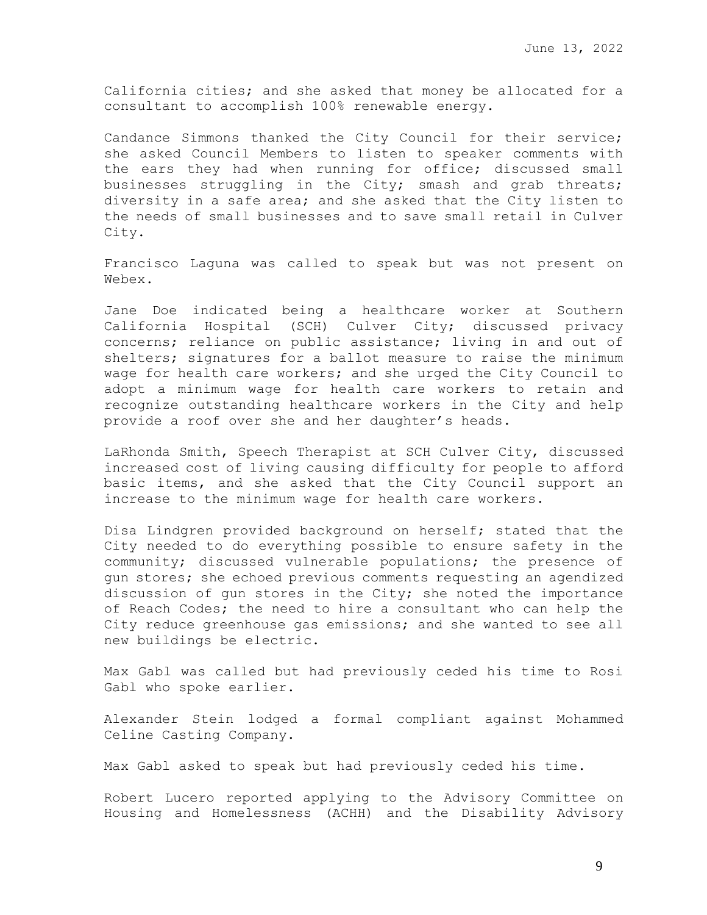California cities; and she asked that money be allocated for a consultant to accomplish 100% renewable energy.

Candance Simmons thanked the City Council for their service; she asked Council Members to listen to speaker comments with the ears they had when running for office; discussed small businesses struggling in the City; smash and grab threats; diversity in a safe area; and she asked that the City listen to the needs of small businesses and to save small retail in Culver City.

Francisco Laguna was called to speak but was not present on Webex.

Jane Doe indicated being a healthcare worker at Southern California Hospital (SCH) Culver City; discussed privacy concerns; reliance on public assistance; living in and out of shelters; signatures for a ballot measure to raise the minimum wage for health care workers; and she urged the City Council to adopt a minimum wage for health care workers to retain and recognize outstanding healthcare workers in the City and help provide a roof over she and her daughter's heads.

LaRhonda Smith, Speech Therapist at SCH Culver City, discussed increased cost of living causing difficulty for people to afford basic items, and she asked that the City Council support an increase to the minimum wage for health care workers.

Disa Lindgren provided background on herself; stated that the City needed to do everything possible to ensure safety in the community; discussed vulnerable populations; the presence of gun stores; she echoed previous comments requesting an agendized discussion of gun stores in the City; she noted the importance of Reach Codes; the need to hire a consultant who can help the City reduce greenhouse gas emissions; and she wanted to see all new buildings be electric.

Max Gabl was called but had previously ceded his time to Rosi Gabl who spoke earlier.

Alexander Stein lodged a formal compliant against Mohammed Celine Casting Company.

Max Gabl asked to speak but had previously ceded his time.

Robert Lucero reported applying to the Advisory Committee on Housing and Homelessness (ACHH) and the Disability Advisory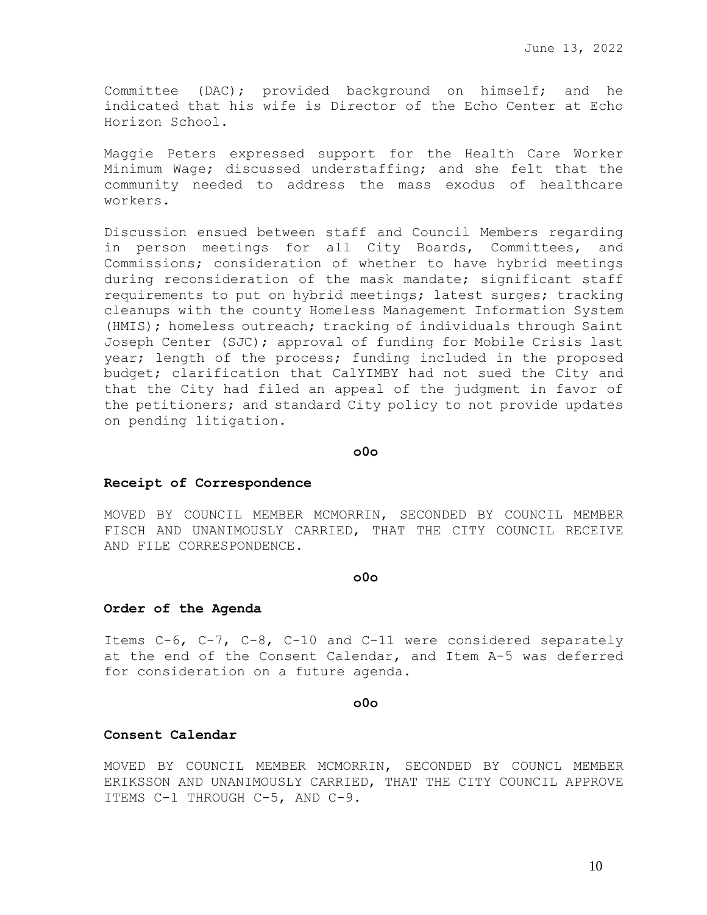Committee (DAC); provided background on himself; and he indicated that his wife is Director of the Echo Center at Echo Horizon School.

Maggie Peters expressed support for the Health Care Worker Minimum Wage; discussed understaffing; and she felt that the community needed to address the mass exodus of healthcare workers.

Discussion ensued between staff and Council Members regarding in person meetings for all City Boards, Committees, and Commissions; consideration of whether to have hybrid meetings during reconsideration of the mask mandate; significant staff requirements to put on hybrid meetings; latest surges; tracking cleanups with the county Homeless Management Information System (HMIS); homeless outreach; tracking of individuals through Saint Joseph Center (SJC); approval of funding for Mobile Crisis last year; length of the process; funding included in the proposed budget; clarification that CalYIMBY had not sued the City and that the City had filed an appeal of the judgment in favor of the petitioners; and standard City policy to not provide updates on pending litigation.

**o0o**

# **Receipt of Correspondence**

MOVED BY COUNCIL MEMBER MCMORRIN, SECONDED BY COUNCIL MEMBER FISCH AND UNANIMOUSLY CARRIED, THAT THE CITY COUNCIL RECEIVE AND FILE CORRESPONDENCE.

#### **o0o**

### **Order of the Agenda**

Items C-6, C-7, C-8, C-10 and C-11 were considered separately at the end of the Consent Calendar, and Item A-5 was deferred for consideration on a future agenda.

#### **o0o**

### **Consent Calendar**

MOVED BY COUNCIL MEMBER MCMORRIN, SECONDED BY COUNCL MEMBER ERIKSSON AND UNANIMOUSLY CARRIED, THAT THE CITY COUNCIL APPROVE ITEMS C-1 THROUGH C-5, AND C-9.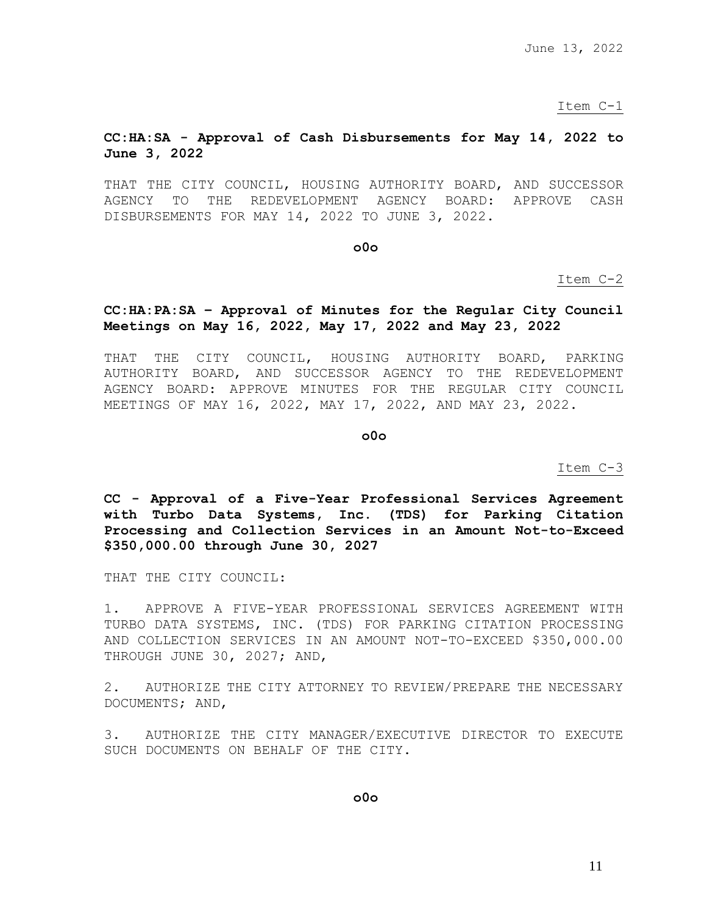June 13, 2022

Item C-1

## **CC:HA:SA - Approval of Cash Disbursements for May 14, 2022 to June 3, 2022**

THAT THE CITY COUNCIL, HOUSING AUTHORITY BOARD, AND SUCCESSOR AGENCY TO THE REDEVELOPMENT AGENCY BOARD: APPROVE CASH DISBURSEMENTS FOR MAY 14, 2022 TO JUNE 3, 2022.

**o0o**

Item C-2

# **CC:HA:PA:SA – Approval of Minutes for the Regular City Council Meetings on May 16, 2022, May 17, 2022 and May 23, 2022**

THAT THE CITY COUNCIL, HOUSING AUTHORITY BOARD, PARKING AUTHORITY BOARD, AND SUCCESSOR AGENCY TO THE REDEVELOPMENT AGENCY BOARD: APPROVE MINUTES FOR THE REGULAR CITY COUNCIL MEETINGS OF MAY 16, 2022, MAY 17, 2022, AND MAY 23, 2022.

**o0o**

Item C-3

**CC - Approval of a Five-Year Professional Services Agreement with Turbo Data Systems, Inc. (TDS) for Parking Citation Processing and Collection Services in an Amount Not-to-Exceed \$350,000.00 through June 30, 2027**

THAT THE CITY COUNCIL:

1. APPROVE A FIVE-YEAR PROFESSIONAL SERVICES AGREEMENT WITH TURBO DATA SYSTEMS, INC. (TDS) FOR PARKING CITATION PROCESSING AND COLLECTION SERVICES IN AN AMOUNT NOT-TO-EXCEED \$350,000.00 THROUGH JUNE 30, 2027; AND,

2. AUTHORIZE THE CITY ATTORNEY TO REVIEW/PREPARE THE NECESSARY DOCUMENTS; AND,

3. AUTHORIZE THE CITY MANAGER/EXECUTIVE DIRECTOR TO EXECUTE SUCH DOCUMENTS ON BEHALF OF THE CITY.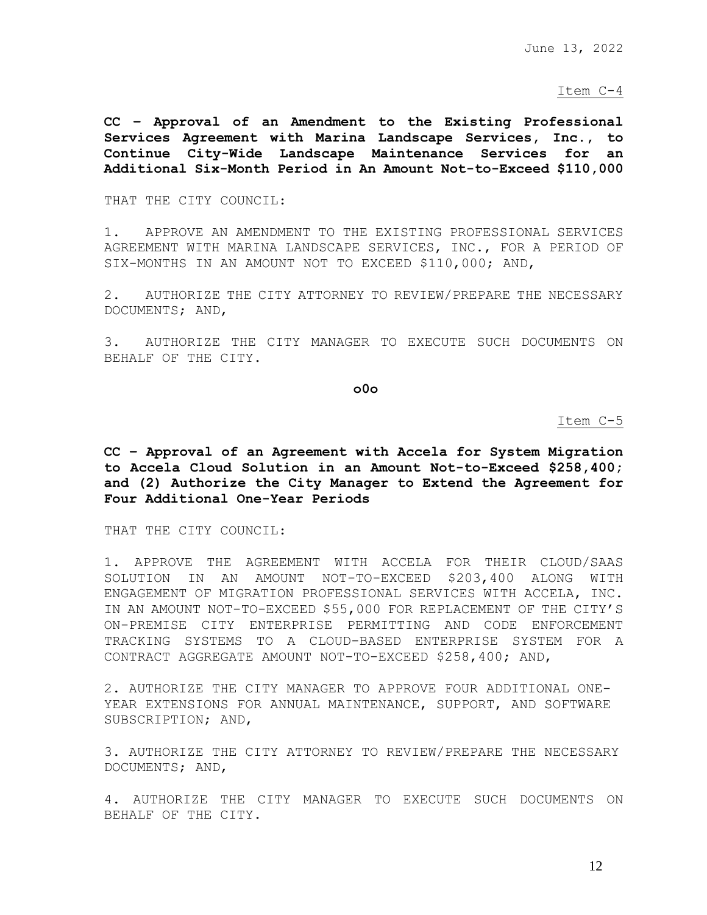# Item C-4

**CC – Approval of an Amendment to the Existing Professional Services Agreement with Marina Landscape Services, Inc., to Continue City-Wide Landscape Maintenance Services for an Additional Six-Month Period in An Amount Not-to-Exceed \$110,000**

THAT THE CITY COUNCIL:

1. APPROVE AN AMENDMENT TO THE EXISTING PROFESSIONAL SERVICES AGREEMENT WITH MARINA LANDSCAPE SERVICES, INC., FOR A PERIOD OF SIX-MONTHS IN AN AMOUNT NOT TO EXCEED \$110,000; AND,

2. AUTHORIZE THE CITY ATTORNEY TO REVIEW/PREPARE THE NECESSARY DOCUMENTS; AND,

3. AUTHORIZE THE CITY MANAGER TO EXECUTE SUCH DOCUMENTS ON BEHALF OF THE CITY.

**o0o**

Item C-5

**CC – Approval of an Agreement with Accela for System Migration to Accela Cloud Solution in an Amount Not-to-Exceed \$258,400; and (2) Authorize the City Manager to Extend the Agreement for Four Additional One-Year Periods**

THAT THE CITY COUNCIL:

1. APPROVE THE AGREEMENT WITH ACCELA FOR THEIR CLOUD/SAAS SOLUTION IN AN AMOUNT NOT-TO-EXCEED \$203,400 ALONG WITH ENGAGEMENT OF MIGRATION PROFESSIONAL SERVICES WITH ACCELA, INC. IN AN AMOUNT NOT-TO-EXCEED \$55,000 FOR REPLACEMENT OF THE CITY'S ON-PREMISE CITY ENTERPRISE PERMITTING AND CODE ENFORCEMENT TRACKING SYSTEMS TO A CLOUD-BASED ENTERPRISE SYSTEM FOR A CONTRACT AGGREGATE AMOUNT NOT-TO-EXCEED \$258,400; AND,

2. AUTHORIZE THE CITY MANAGER TO APPROVE FOUR ADDITIONAL ONE-YEAR EXTENSIONS FOR ANNUAL MAINTENANCE, SUPPORT, AND SOFTWARE SUBSCRIPTION; AND,

3. AUTHORIZE THE CITY ATTORNEY TO REVIEW/PREPARE THE NECESSARY DOCUMENTS; AND,

4. AUTHORIZE THE CITY MANAGER TO EXECUTE SUCH DOCUMENTS ON BEHALF OF THE CITY.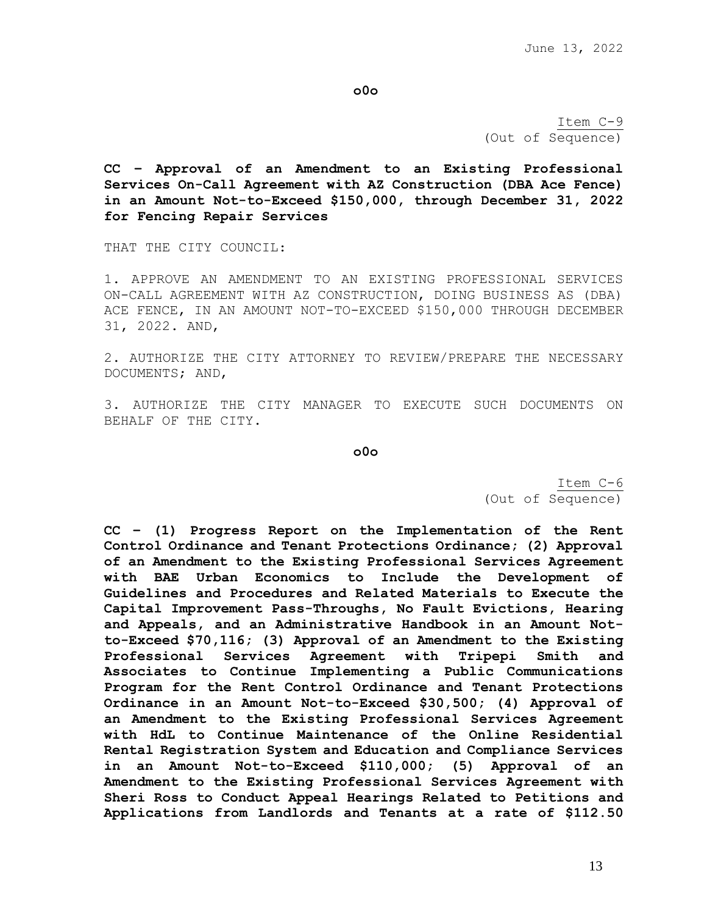**o0o**

Item C-9 (Out of Sequence)

**CC – Approval of an Amendment to an Existing Professional Services On-Call Agreement with AZ Construction (DBA Ace Fence) in an Amount Not-to-Exceed \$150,000, through December 31, 2022 for Fencing Repair Services**

THAT THE CITY COUNCIL:

1. APPROVE AN AMENDMENT TO AN EXISTING PROFESSIONAL SERVICES ON-CALL AGREEMENT WITH AZ CONSTRUCTION, DOING BUSINESS AS (DBA) ACE FENCE, IN AN AMOUNT NOT-TO-EXCEED \$150,000 THROUGH DECEMBER 31, 2022. AND,

2. AUTHORIZE THE CITY ATTORNEY TO REVIEW/PREPARE THE NECESSARY DOCUMENTS; AND,

3. AUTHORIZE THE CITY MANAGER TO EXECUTE SUCH DOCUMENTS ON BEHALF OF THE CITY.

**o0o**

Item C-6 (Out of Sequence)

**CC – (1) Progress Report on the Implementation of the Rent Control Ordinance and Tenant Protections Ordinance; (2) Approval of an Amendment to the Existing Professional Services Agreement with BAE Urban Economics to Include the Development of Guidelines and Procedures and Related Materials to Execute the Capital Improvement Pass-Throughs, No Fault Evictions, Hearing and Appeals, and an Administrative Handbook in an Amount Notto-Exceed \$70,116; (3) Approval of an Amendment to the Existing Professional Services Agreement with Tripepi Smith and Associates to Continue Implementing a Public Communications Program for the Rent Control Ordinance and Tenant Protections Ordinance in an Amount Not-to-Exceed \$30,500; (4) Approval of an Amendment to the Existing Professional Services Agreement with HdL to Continue Maintenance of the Online Residential Rental Registration System and Education and Compliance Services in an Amount Not-to-Exceed \$110,000; (5) Approval of an Amendment to the Existing Professional Services Agreement with Sheri Ross to Conduct Appeal Hearings Related to Petitions and Applications from Landlords and Tenants at a rate of \$112.50**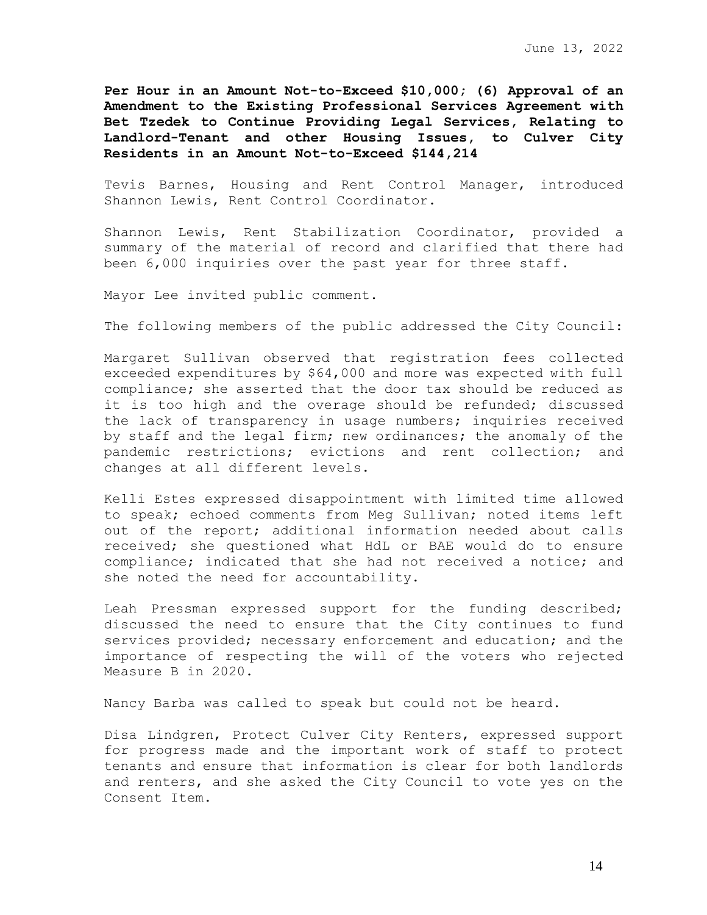**Per Hour in an Amount Not-to-Exceed \$10,000; (6) Approval of an Amendment to the Existing Professional Services Agreement with Bet Tzedek to Continue Providing Legal Services, Relating to Landlord-Tenant and other Housing Issues, to Culver City Residents in an Amount Not-to-Exceed \$144,214**

Tevis Barnes, Housing and Rent Control Manager, introduced Shannon Lewis, Rent Control Coordinator.

Shannon Lewis, Rent Stabilization Coordinator, provided a summary of the material of record and clarified that there had been 6,000 inquiries over the past year for three staff.

Mayor Lee invited public comment.

The following members of the public addressed the City Council:

Margaret Sullivan observed that registration fees collected exceeded expenditures by \$64,000 and more was expected with full compliance; she asserted that the door tax should be reduced as it is too high and the overage should be refunded; discussed the lack of transparency in usage numbers; inquiries received by staff and the legal firm; new ordinances; the anomaly of the pandemic restrictions; evictions and rent collection; and changes at all different levels.

Kelli Estes expressed disappointment with limited time allowed to speak; echoed comments from Meg Sullivan; noted items left out of the report; additional information needed about calls received; she questioned what HdL or BAE would do to ensure compliance; indicated that she had not received a notice; and she noted the need for accountability.

Leah Pressman expressed support for the funding described; discussed the need to ensure that the City continues to fund services provided; necessary enforcement and education; and the importance of respecting the will of the voters who rejected Measure B in 2020.

Nancy Barba was called to speak but could not be heard.

Disa Lindgren, Protect Culver City Renters, expressed support for progress made and the important work of staff to protect tenants and ensure that information is clear for both landlords and renters, and she asked the City Council to vote yes on the Consent Item.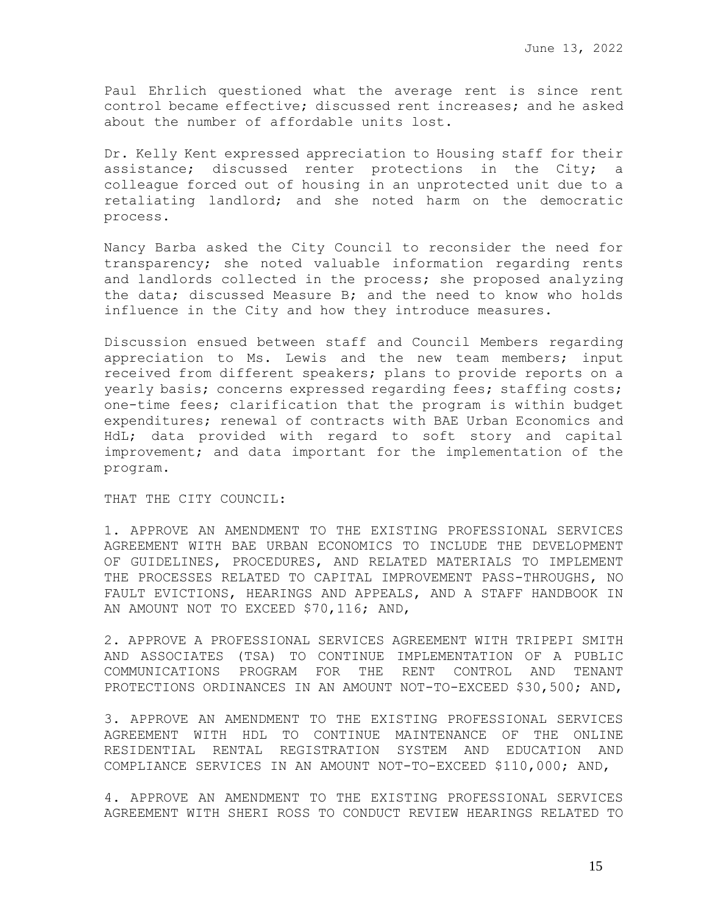Paul Ehrlich questioned what the average rent is since rent control became effective; discussed rent increases; and he asked about the number of affordable units lost.

Dr. Kelly Kent expressed appreciation to Housing staff for their assistance; discussed renter protections in the City; a colleague forced out of housing in an unprotected unit due to a retaliating landlord; and she noted harm on the democratic process.

Nancy Barba asked the City Council to reconsider the need for transparency; she noted valuable information regarding rents and landlords collected in the process; she proposed analyzing the data; discussed Measure B; and the need to know who holds influence in the City and how they introduce measures.

Discussion ensued between staff and Council Members regarding appreciation to Ms. Lewis and the new team members; input received from different speakers; plans to provide reports on a yearly basis; concerns expressed regarding fees; staffing costs; one-time fees; clarification that the program is within budget expenditures; renewal of contracts with BAE Urban Economics and HdL; data provided with regard to soft story and capital improvement; and data important for the implementation of the program.

THAT THE CITY COUNCIL:

1. APPROVE AN AMENDMENT TO THE EXISTING PROFESSIONAL SERVICES AGREEMENT WITH BAE URBAN ECONOMICS TO INCLUDE THE DEVELOPMENT OF GUIDELINES, PROCEDURES, AND RELATED MATERIALS TO IMPLEMENT THE PROCESSES RELATED TO CAPITAL IMPROVEMENT PASS-THROUGHS, NO FAULT EVICTIONS, HEARINGS AND APPEALS, AND A STAFF HANDBOOK IN AN AMOUNT NOT TO EXCEED \$70,116; AND,

2. APPROVE A PROFESSIONAL SERVICES AGREEMENT WITH TRIPEPI SMITH AND ASSOCIATES (TSA) TO CONTINUE IMPLEMENTATION OF A PUBLIC COMMUNICATIONS PROGRAM FOR THE RENT CONTROL AND TENANT PROTECTIONS ORDINANCES IN AN AMOUNT NOT-TO-EXCEED \$30,500; AND,

3. APPROVE AN AMENDMENT TO THE EXISTING PROFESSIONAL SERVICES AGREEMENT WITH HDL TO CONTINUE MAINTENANCE OF THE ONLINE RESIDENTIAL RENTAL REGISTRATION SYSTEM AND EDUCATION AND COMPLIANCE SERVICES IN AN AMOUNT NOT-TO-EXCEED \$110,000; AND,

4. APPROVE AN AMENDMENT TO THE EXISTING PROFESSIONAL SERVICES AGREEMENT WITH SHERI ROSS TO CONDUCT REVIEW HEARINGS RELATED TO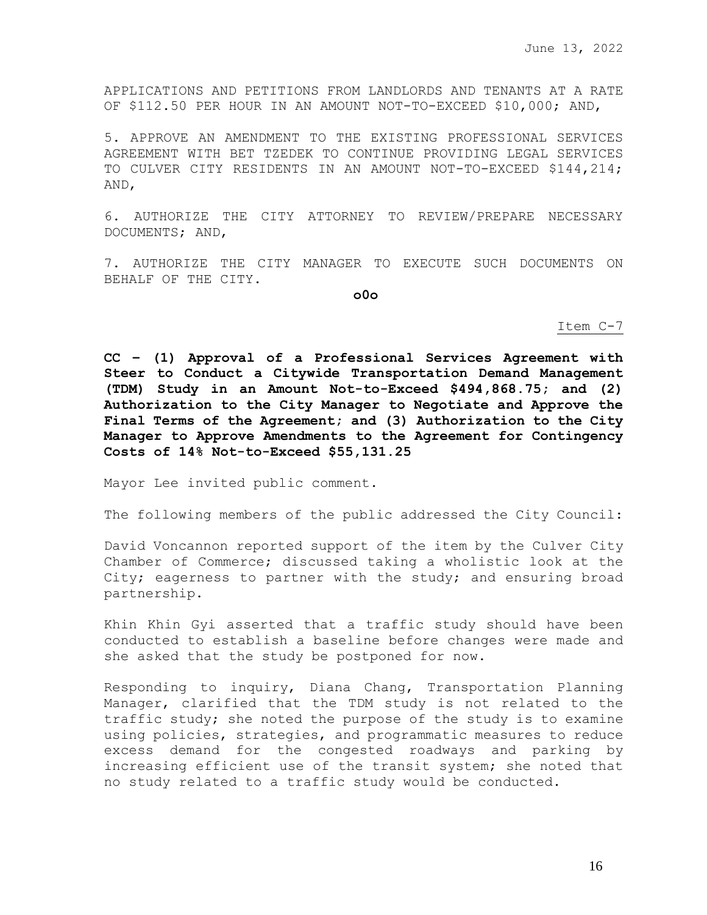APPLICATIONS AND PETITIONS FROM LANDLORDS AND TENANTS AT A RATE OF \$112.50 PER HOUR IN AN AMOUNT NOT-TO-EXCEED \$10,000; AND,

5. APPROVE AN AMENDMENT TO THE EXISTING PROFESSIONAL SERVICES AGREEMENT WITH BET TZEDEK TO CONTINUE PROVIDING LEGAL SERVICES TO CULVER CITY RESIDENTS IN AN AMOUNT NOT-TO-EXCEED \$144,214; AND,

6. AUTHORIZE THE CITY ATTORNEY TO REVIEW/PREPARE NECESSARY DOCUMENTS; AND,

7. AUTHORIZE THE CITY MANAGER TO EXECUTE SUCH DOCUMENTS ON BEHALF OF THE CITY.

**o0o**

Item C-7

**CC – (1) Approval of a Professional Services Agreement with Steer to Conduct a Citywide Transportation Demand Management (TDM) Study in an Amount Not-to-Exceed \$494,868.75; and (2) Authorization to the City Manager to Negotiate and Approve the Final Terms of the Agreement; and (3) Authorization to the City Manager to Approve Amendments to the Agreement for Contingency Costs of 14% Not-to-Exceed \$55,131.25** 

Mayor Lee invited public comment.

The following members of the public addressed the City Council:

David Voncannon reported support of the item by the Culver City Chamber of Commerce; discussed taking a wholistic look at the City; eagerness to partner with the study; and ensuring broad partnership.

Khin Khin Gyi asserted that a traffic study should have been conducted to establish a baseline before changes were made and she asked that the study be postponed for now.

Responding to inquiry, Diana Chang, Transportation Planning Manager, clarified that the TDM study is not related to the traffic study; she noted the purpose of the study is to examine using policies, strategies, and programmatic measures to reduce excess demand for the congested roadways and parking by increasing efficient use of the transit system; she noted that no study related to a traffic study would be conducted.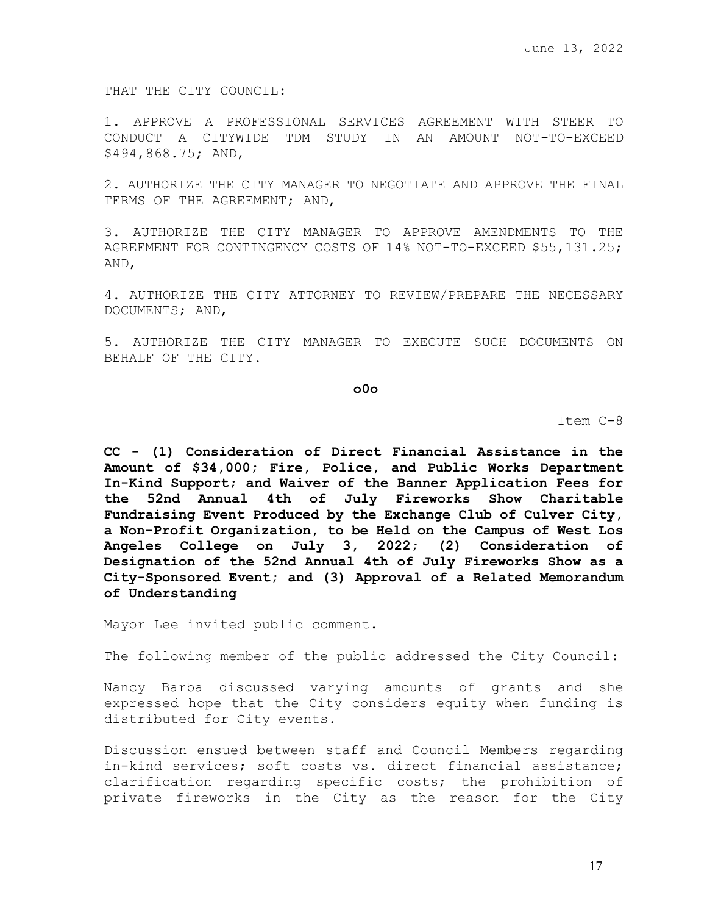THAT THE CITY COUNCIL:

1. APPROVE A PROFESSIONAL SERVICES AGREEMENT WITH STEER TO CONDUCT A CITYWIDE TDM STUDY IN AN AMOUNT NOT-TO-EXCEED \$494,868.75; AND,

2. AUTHORIZE THE CITY MANAGER TO NEGOTIATE AND APPROVE THE FINAL TERMS OF THE AGREEMENT; AND,

3. AUTHORIZE THE CITY MANAGER TO APPROVE AMENDMENTS TO THE AGREEMENT FOR CONTINGENCY COSTS OF 14% NOT-TO-EXCEED \$55,131.25; AND,

4. AUTHORIZE THE CITY ATTORNEY TO REVIEW/PREPARE THE NECESSARY DOCUMENTS; AND,

5. AUTHORIZE THE CITY MANAGER TO EXECUTE SUCH DOCUMENTS ON BEHALF OF THE CITY.

**o0o**

Item C-8

**CC - (1) Consideration of Direct Financial Assistance in the Amount of \$34,000; Fire, Police, and Public Works Department In-Kind Support; and Waiver of the Banner Application Fees for the 52nd Annual 4th of July Fireworks Show Charitable Fundraising Event Produced by the Exchange Club of Culver City, a Non-Profit Organization, to be Held on the Campus of West Los Angeles College on July 3, 2022; (2) Consideration of Designation of the 52nd Annual 4th of July Fireworks Show as a City-Sponsored Event; and (3) Approval of a Related Memorandum of Understanding**

Mayor Lee invited public comment.

The following member of the public addressed the City Council:

Nancy Barba discussed varying amounts of grants and she expressed hope that the City considers equity when funding is distributed for City events.

Discussion ensued between staff and Council Members regarding in-kind services; soft costs vs. direct financial assistance; clarification regarding specific costs; the prohibition of private fireworks in the City as the reason for the City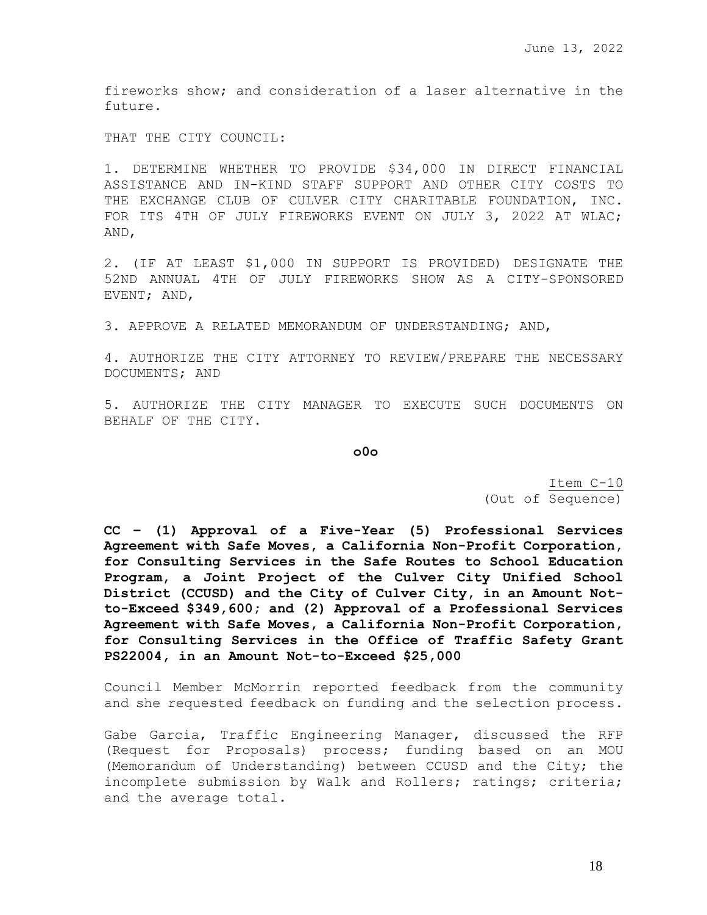fireworks show; and consideration of a laser alternative in the future.

THAT THE CITY COUNCIL:

1. DETERMINE WHETHER TO PROVIDE \$34,000 IN DIRECT FINANCIAL ASSISTANCE AND IN-KIND STAFF SUPPORT AND OTHER CITY COSTS TO THE EXCHANGE CLUB OF CULVER CITY CHARITABLE FOUNDATION, INC. FOR ITS 4TH OF JULY FIREWORKS EVENT ON JULY 3, 2022 AT WLAC; AND,

2. (IF AT LEAST \$1,000 IN SUPPORT IS PROVIDED) DESIGNATE THE 52ND ANNUAL 4TH OF JULY FIREWORKS SHOW AS A CITY-SPONSORED EVENT; AND,

3. APPROVE A RELATED MEMORANDUM OF UNDERSTANDING; AND,

4. AUTHORIZE THE CITY ATTORNEY TO REVIEW/PREPARE THE NECESSARY DOCUMENTS; AND

5. AUTHORIZE THE CITY MANAGER TO EXECUTE SUCH DOCUMENTS ON BEHALF OF THE CITY.

**o0o**

Item C-10 (Out of Sequence)

**CC – (1) Approval of a Five-Year (5) Professional Services Agreement with Safe Moves, a California Non-Profit Corporation, for Consulting Services in the Safe Routes to School Education Program, a Joint Project of the Culver City Unified School District (CCUSD) and the City of Culver City, in an Amount Notto-Exceed \$349,600; and (2) Approval of a Professional Services Agreement with Safe Moves, a California Non-Profit Corporation, for Consulting Services in the Office of Traffic Safety Grant PS22004, in an Amount Not-to-Exceed \$25,000** 

Council Member McMorrin reported feedback from the community and she requested feedback on funding and the selection process.

Gabe Garcia, Traffic Engineering Manager, discussed the RFP (Request for Proposals) process; funding based on an MOU (Memorandum of Understanding) between CCUSD and the City; the incomplete submission by Walk and Rollers; ratings; criteria; and the average total.

18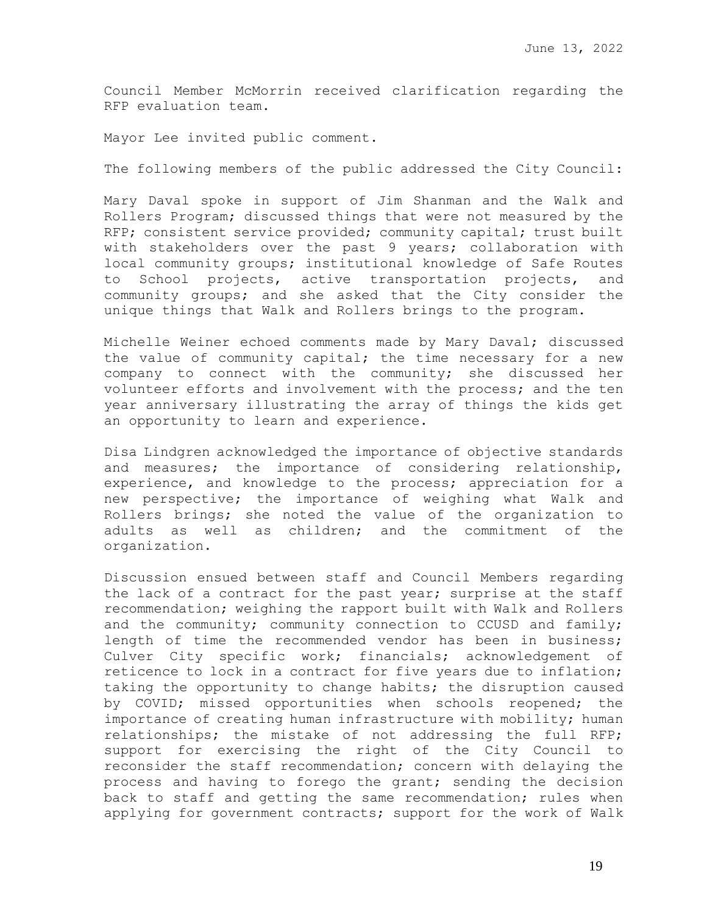Council Member McMorrin received clarification regarding the RFP evaluation team.

Mayor Lee invited public comment.

The following members of the public addressed the City Council:

Mary Daval spoke in support of Jim Shanman and the Walk and Rollers Program; discussed things that were not measured by the RFP; consistent service provided; community capital; trust built with stakeholders over the past 9 years; collaboration with local community groups; institutional knowledge of Safe Routes to School projects, active transportation projects, and community groups; and she asked that the City consider the unique things that Walk and Rollers brings to the program.

Michelle Weiner echoed comments made by Mary Daval; discussed the value of community capital; the time necessary for a new company to connect with the community; she discussed her volunteer efforts and involvement with the process; and the ten year anniversary illustrating the array of things the kids get an opportunity to learn and experience.

Disa Lindgren acknowledged the importance of objective standards and measures; the importance of considering relationship, experience, and knowledge to the process; appreciation for a new perspective; the importance of weighing what Walk and Rollers brings; she noted the value of the organization to adults as well as children; and the commitment of the organization.

Discussion ensued between staff and Council Members regarding the lack of a contract for the past year; surprise at the staff recommendation; weighing the rapport built with Walk and Rollers and the community; community connection to CCUSD and family; length of time the recommended vendor has been in business; Culver City specific work; financials; acknowledgement of reticence to lock in a contract for five years due to inflation; taking the opportunity to change habits; the disruption caused by COVID; missed opportunities when schools reopened; the importance of creating human infrastructure with mobility; human relationships; the mistake of not addressing the full RFP; support for exercising the right of the City Council to reconsider the staff recommendation; concern with delaying the process and having to forego the grant; sending the decision back to staff and getting the same recommendation; rules when applying for government contracts; support for the work of Walk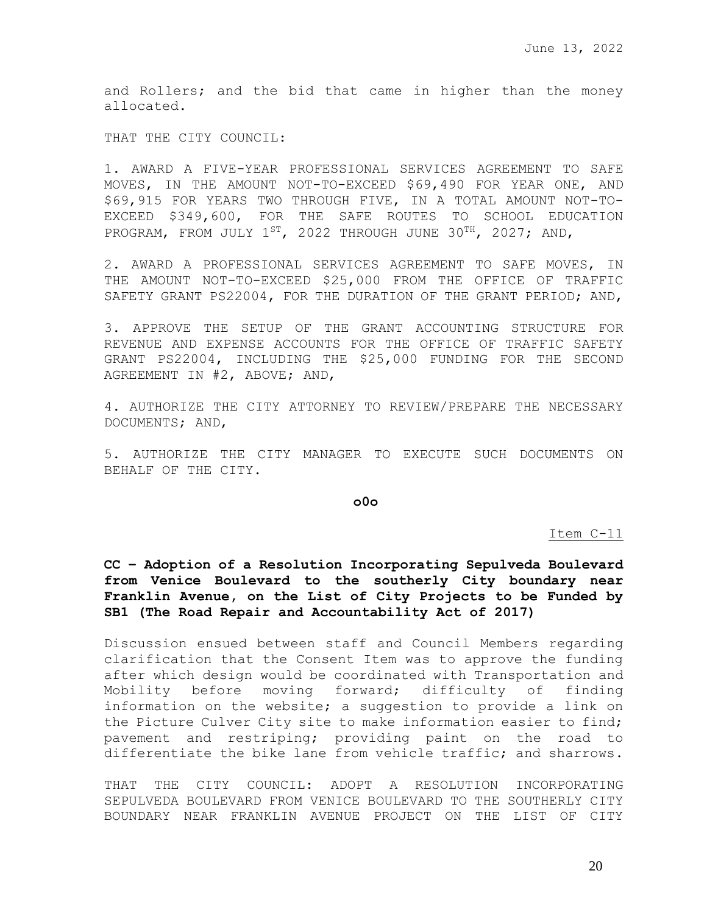and Rollers; and the bid that came in higher than the money allocated.

THAT THE CITY COUNCIL:

1. AWARD A FIVE-YEAR PROFESSIONAL SERVICES AGREEMENT TO SAFE MOVES, IN THE AMOUNT NOT-TO-EXCEED \$69,490 FOR YEAR ONE, AND \$69,915 FOR YEARS TWO THROUGH FIVE, IN A TOTAL AMOUNT NOT-TO-EXCEED \$349,600, FOR THE SAFE ROUTES TO SCHOOL EDUCATION PROGRAM, FROM JULY 1<sup>st</sup>, 2022 THROUGH JUNE 30<sup>TH</sup>, 2027; AND,

2. AWARD A PROFESSIONAL SERVICES AGREEMENT TO SAFE MOVES, IN THE AMOUNT NOT-TO-EXCEED \$25,000 FROM THE OFFICE OF TRAFFIC SAFETY GRANT PS22004, FOR THE DURATION OF THE GRANT PERIOD; AND,

3. APPROVE THE SETUP OF THE GRANT ACCOUNTING STRUCTURE FOR REVENUE AND EXPENSE ACCOUNTS FOR THE OFFICE OF TRAFFIC SAFETY GRANT PS22004, INCLUDING THE \$25,000 FUNDING FOR THE SECOND AGREEMENT IN #2, ABOVE; AND,

4. AUTHORIZE THE CITY ATTORNEY TO REVIEW/PREPARE THE NECESSARY DOCUMENTS; AND,

5. AUTHORIZE THE CITY MANAGER TO EXECUTE SUCH DOCUMENTS ON BEHALF OF THE CITY.

**o0o**

Item C-11

**CC – Adoption of a Resolution Incorporating Sepulveda Boulevard from Venice Boulevard to the southerly City boundary near Franklin Avenue, on the List of City Projects to be Funded by SB1 (The Road Repair and Accountability Act of 2017)** 

Discussion ensued between staff and Council Members regarding clarification that the Consent Item was to approve the funding after which design would be coordinated with Transportation and Mobility before moving forward; difficulty of finding information on the website; a suggestion to provide a link on the Picture Culver City site to make information easier to find; pavement and restriping; providing paint on the road to differentiate the bike lane from vehicle traffic; and sharrows.

THAT THE CITY COUNCIL: ADOPT A RESOLUTION INCORPORATING SEPULVEDA BOULEVARD FROM VENICE BOULEVARD TO THE SOUTHERLY CITY BOUNDARY NEAR FRANKLIN AVENUE PROJECT ON THE LIST OF CITY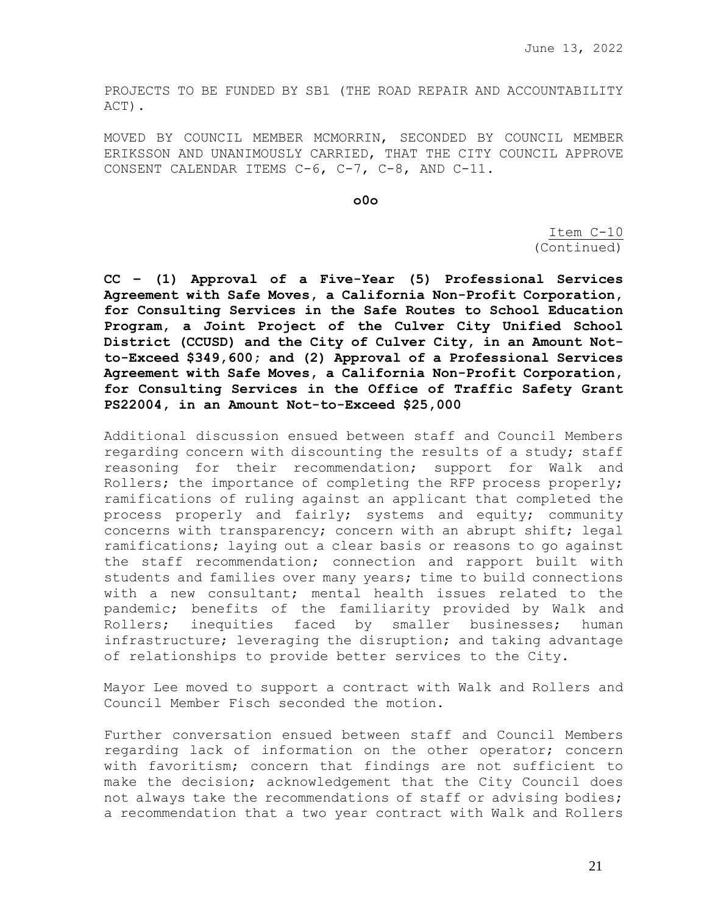PROJECTS TO BE FUNDED BY SB1 (THE ROAD REPAIR AND ACCOUNTABILITY ACT).

MOVED BY COUNCIL MEMBER MCMORRIN, SECONDED BY COUNCIL MEMBER ERIKSSON AND UNANIMOUSLY CARRIED, THAT THE CITY COUNCIL APPROVE CONSENT CALENDAR ITEMS C-6, C-7, C-8, AND C-11.

**o0o**

Item C-10 (Continued)

**CC – (1) Approval of a Five-Year (5) Professional Services Agreement with Safe Moves, a California Non-Profit Corporation, for Consulting Services in the Safe Routes to School Education Program, a Joint Project of the Culver City Unified School District (CCUSD) and the City of Culver City, in an Amount Notto-Exceed \$349,600; and (2) Approval of a Professional Services Agreement with Safe Moves, a California Non-Profit Corporation, for Consulting Services in the Office of Traffic Safety Grant PS22004, in an Amount Not-to-Exceed \$25,000** 

Additional discussion ensued between staff and Council Members regarding concern with discounting the results of a study; staff reasoning for their recommendation; support for Walk and Rollers; the importance of completing the RFP process properly; ramifications of ruling against an applicant that completed the process properly and fairly; systems and equity; community concerns with transparency; concern with an abrupt shift; legal ramifications; laying out a clear basis or reasons to go against the staff recommendation; connection and rapport built with students and families over many years; time to build connections with a new consultant; mental health issues related to the pandemic; benefits of the familiarity provided by Walk and Rollers; inequities faced by smaller businesses; human infrastructure; leveraging the disruption; and taking advantage of relationships to provide better services to the City.

Mayor Lee moved to support a contract with Walk and Rollers and Council Member Fisch seconded the motion.

Further conversation ensued between staff and Council Members regarding lack of information on the other operator; concern with favoritism; concern that findings are not sufficient to make the decision; acknowledgement that the City Council does not always take the recommendations of staff or advising bodies; a recommendation that a two year contract with Walk and Rollers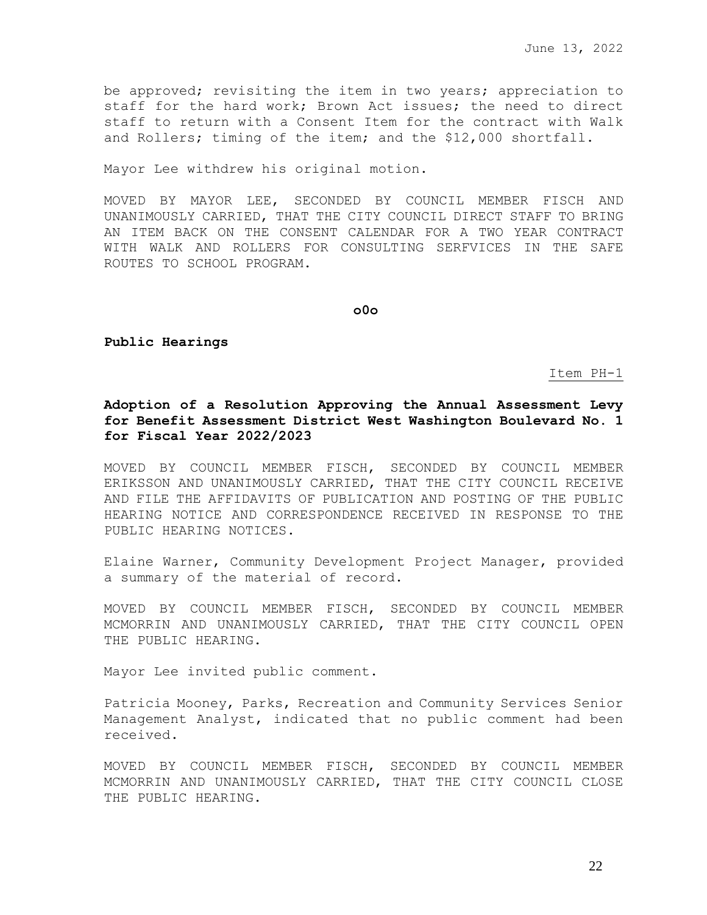be approved; revisiting the item in two years; appreciation to staff for the hard work; Brown Act issues; the need to direct staff to return with a Consent Item for the contract with Walk and Rollers; timing of the item; and the \$12,000 shortfall.

Mayor Lee withdrew his original motion.

MOVED BY MAYOR LEE, SECONDED BY COUNCIL MEMBER FISCH AND UNANIMOUSLY CARRIED, THAT THE CITY COUNCIL DIRECT STAFF TO BRING AN ITEM BACK ON THE CONSENT CALENDAR FOR A TWO YEAR CONTRACT WITH WALK AND ROLLERS FOR CONSULTING SERFVICES IN THE SAFE ROUTES TO SCHOOL PROGRAM.

**o0o**

**Public Hearings**

Item PH-1

# **Adoption of a Resolution Approving the Annual Assessment Levy for Benefit Assessment District West Washington Boulevard No. 1 for Fiscal Year 2022/2023**

MOVED BY COUNCIL MEMBER FISCH, SECONDED BY COUNCIL MEMBER ERIKSSON AND UNANIMOUSLY CARRIED, THAT THE CITY COUNCIL RECEIVE AND FILE THE AFFIDAVITS OF PUBLICATION AND POSTING OF THE PUBLIC HEARING NOTICE AND CORRESPONDENCE RECEIVED IN RESPONSE TO THE PUBLIC HEARING NOTICES.

Elaine Warner, Community Development Project Manager, provided a summary of the material of record.

MOVED BY COUNCIL MEMBER FISCH, SECONDED BY COUNCIL MEMBER MCMORRIN AND UNANIMOUSLY CARRIED, THAT THE CITY COUNCIL OPEN THE PUBLIC HEARING.

Mayor Lee invited public comment.

Patricia Mooney, Parks, Recreation and Community Services Senior Management Analyst, indicated that no public comment had been received.

MOVED BY COUNCIL MEMBER FISCH, SECONDED BY COUNCIL MEMBER MCMORRIN AND UNANIMOUSLY CARRIED, THAT THE CITY COUNCIL CLOSE THE PUBLIC HEARING.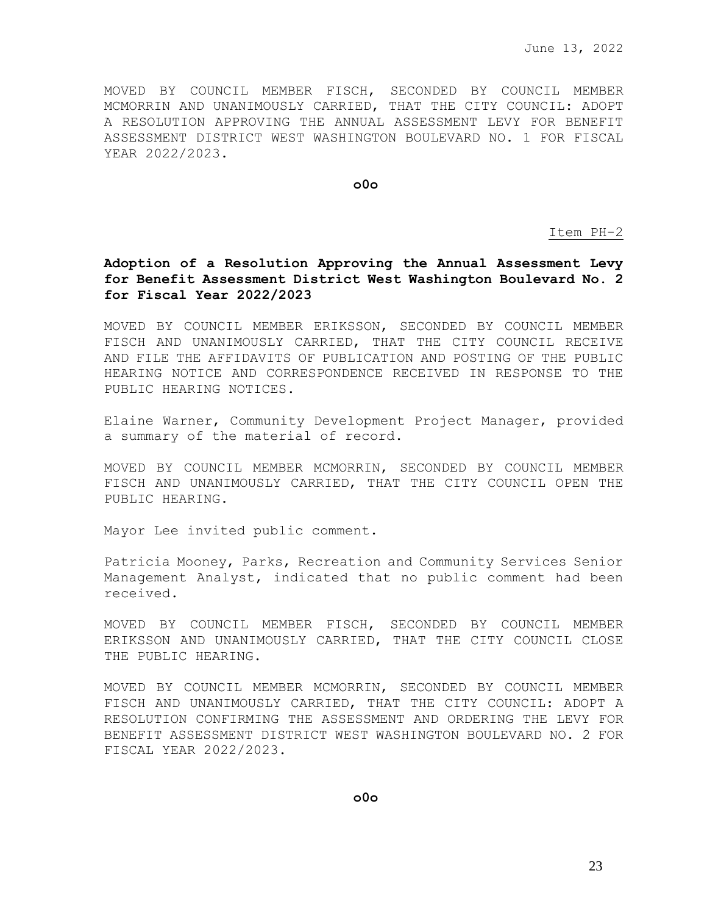MOVED BY COUNCIL MEMBER FISCH, SECONDED BY COUNCIL MEMBER MCMORRIN AND UNANIMOUSLY CARRIED, THAT THE CITY COUNCIL: ADOPT A RESOLUTION APPROVING THE ANNUAL ASSESSMENT LEVY FOR BENEFIT ASSESSMENT DISTRICT WEST WASHINGTON BOULEVARD NO. 1 FOR FISCAL YEAR 2022/2023.

**o0o**

Item PH-2

# **Adoption of a Resolution Approving the Annual Assessment Levy for Benefit Assessment District West Washington Boulevard No. 2 for Fiscal Year 2022/2023**

MOVED BY COUNCIL MEMBER ERIKSSON, SECONDED BY COUNCIL MEMBER FISCH AND UNANIMOUSLY CARRIED, THAT THE CITY COUNCIL RECEIVE AND FILE THE AFFIDAVITS OF PUBLICATION AND POSTING OF THE PUBLIC HEARING NOTICE AND CORRESPONDENCE RECEIVED IN RESPONSE TO THE PUBLIC HEARING NOTICES.

Elaine Warner, Community Development Project Manager, provided a summary of the material of record.

MOVED BY COUNCIL MEMBER MCMORRIN, SECONDED BY COUNCIL MEMBER FISCH AND UNANIMOUSLY CARRIED, THAT THE CITY COUNCIL OPEN THE PUBLIC HEARING.

Mayor Lee invited public comment.

Patricia Mooney, Parks, Recreation and Community Services Senior Management Analyst, indicated that no public comment had been received.

MOVED BY COUNCIL MEMBER FISCH, SECONDED BY COUNCIL MEMBER ERIKSSON AND UNANIMOUSLY CARRIED, THAT THE CITY COUNCIL CLOSE THE PUBLIC HEARING.

MOVED BY COUNCIL MEMBER MCMORRIN, SECONDED BY COUNCIL MEMBER FISCH AND UNANIMOUSLY CARRIED, THAT THE CITY COUNCIL: ADOPT A RESOLUTION CONFIRMING THE ASSESSMENT AND ORDERING THE LEVY FOR BENEFIT ASSESSMENT DISTRICT WEST WASHINGTON BOULEVARD NO. 2 FOR FISCAL YEAR 2022/2023.

**o0o**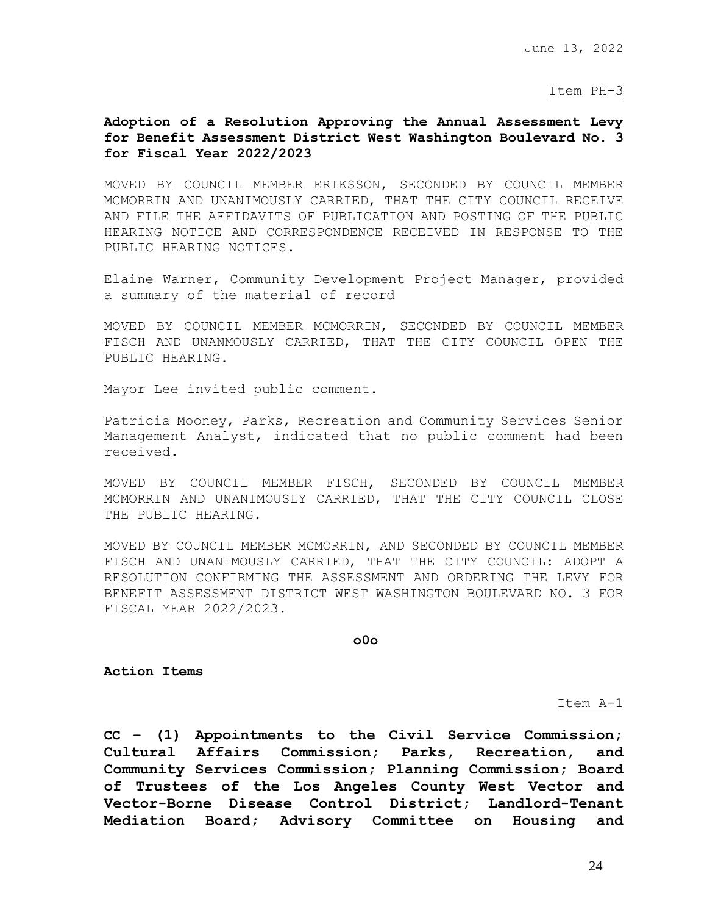Item PH-3

# **Adoption of a Resolution Approving the Annual Assessment Levy for Benefit Assessment District West Washington Boulevard No. 3 for Fiscal Year 2022/2023**

MOVED BY COUNCIL MEMBER ERIKSSON, SECONDED BY COUNCIL MEMBER MCMORRIN AND UNANIMOUSLY CARRIED, THAT THE CITY COUNCIL RECEIVE AND FILE THE AFFIDAVITS OF PUBLICATION AND POSTING OF THE PUBLIC HEARING NOTICE AND CORRESPONDENCE RECEIVED IN RESPONSE TO THE PUBLIC HEARING NOTICES.

Elaine Warner, Community Development Project Manager, provided a summary of the material of record

MOVED BY COUNCIL MEMBER MCMORRIN, SECONDED BY COUNCIL MEMBER FISCH AND UNANMOUSLY CARRIED, THAT THE CITY COUNCIL OPEN THE PUBLIC HEARING.

Mayor Lee invited public comment.

Patricia Mooney, Parks, Recreation and Community Services Senior Management Analyst, indicated that no public comment had been received.

MOVED BY COUNCIL MEMBER FISCH, SECONDED BY COUNCIL MEMBER MCMORRIN AND UNANIMOUSLY CARRIED, THAT THE CITY COUNCIL CLOSE THE PUBLIC HEARING.

MOVED BY COUNCIL MEMBER MCMORRIN, AND SECONDED BY COUNCIL MEMBER FISCH AND UNANIMOUSLY CARRIED, THAT THE CITY COUNCIL: ADOPT A RESOLUTION CONFIRMING THE ASSESSMENT AND ORDERING THE LEVY FOR BENEFIT ASSESSMENT DISTRICT WEST WASHINGTON BOULEVARD NO. 3 FOR FISCAL YEAR 2022/2023.

**o0o**

**Action Items**

#### Item A-1

**CC – (1) Appointments to the Civil Service Commission; Cultural Affairs Commission; Parks, Recreation, and Community Services Commission; Planning Commission; Board of Trustees of the Los Angeles County West Vector and Vector-Borne Disease Control District; Landlord-Tenant Mediation Board; Advisory Committee on Housing and**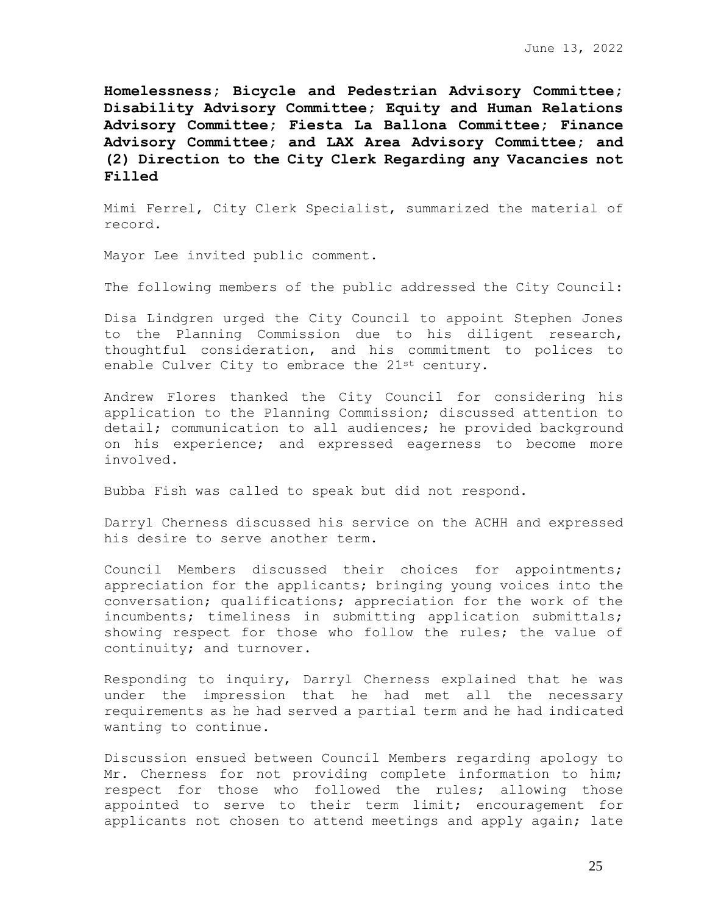**Homelessness; Bicycle and Pedestrian Advisory Committee; Disability Advisory Committee; Equity and Human Relations Advisory Committee; Fiesta La Ballona Committee; Finance Advisory Committee; and LAX Area Advisory Committee; and (2) Direction to the City Clerk Regarding any Vacancies not Filled**

Mimi Ferrel, City Clerk Specialist, summarized the material of record.

Mayor Lee invited public comment.

The following members of the public addressed the City Council:

Disa Lindgren urged the City Council to appoint Stephen Jones to the Planning Commission due to his diligent research, thoughtful consideration, and his commitment to polices to enable Culver City to embrace the 21st century.

Andrew Flores thanked the City Council for considering his application to the Planning Commission; discussed attention to detail; communication to all audiences; he provided background on his experience; and expressed eagerness to become more involved.

Bubba Fish was called to speak but did not respond.

Darryl Cherness discussed his service on the ACHH and expressed his desire to serve another term.

Council Members discussed their choices for appointments; appreciation for the applicants; bringing young voices into the conversation; qualifications; appreciation for the work of the incumbents; timeliness in submitting application submittals; showing respect for those who follow the rules; the value of continuity; and turnover.

Responding to inquiry, Darryl Cherness explained that he was under the impression that he had met all the necessary requirements as he had served a partial term and he had indicated wanting to continue.

Discussion ensued between Council Members regarding apology to Mr. Cherness for not providing complete information to him; respect for those who followed the rules; allowing those appointed to serve to their term limit; encouragement for applicants not chosen to attend meetings and apply again; late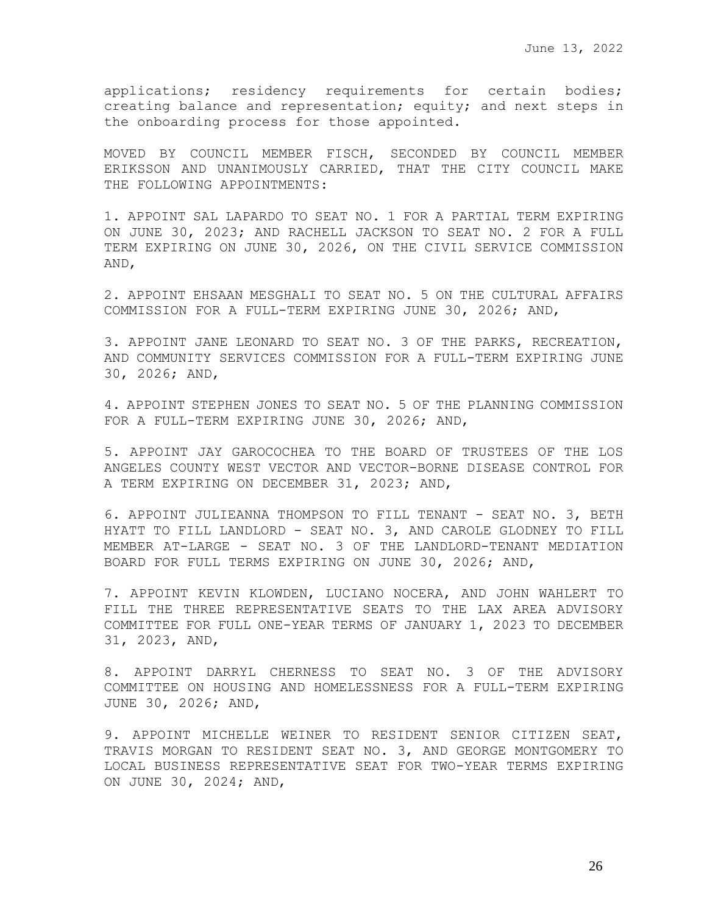applications; residency requirements for certain bodies; creating balance and representation; equity; and next steps in the onboarding process for those appointed.

MOVED BY COUNCIL MEMBER FISCH, SECONDED BY COUNCIL MEMBER ERIKSSON AND UNANIMOUSLY CARRIED, THAT THE CITY COUNCIL MAKE THE FOLLOWING APPOINTMENTS:

1. APPOINT SAL LAPARDO TO SEAT NO. 1 FOR A PARTIAL TERM EXPIRING ON JUNE 30, 2023; AND RACHELL JACKSON TO SEAT NO. 2 FOR A FULL TERM EXPIRING ON JUNE 30, 2026, ON THE CIVIL SERVICE COMMISSION AND,

2. APPOINT EHSAAN MESGHALI TO SEAT NO. 5 ON THE CULTURAL AFFAIRS COMMISSION FOR A FULL-TERM EXPIRING JUNE 30, 2026; AND,

3. APPOINT JANE LEONARD TO SEAT NO. 3 OF THE PARKS, RECREATION, AND COMMUNITY SERVICES COMMISSION FOR A FULL-TERM EXPIRING JUNE 30, 2026; AND,

4. APPOINT STEPHEN JONES TO SEAT NO. 5 OF THE PLANNING COMMISSION FOR A FULL-TERM EXPIRING JUNE 30, 2026; AND,

5. APPOINT JAY GAROCOCHEA TO THE BOARD OF TRUSTEES OF THE LOS ANGELES COUNTY WEST VECTOR AND VECTOR-BORNE DISEASE CONTROL FOR A TERM EXPIRING ON DECEMBER 31, 2023; AND,

6. APPOINT JULIEANNA THOMPSON TO FILL TENANT - SEAT NO. 3, BETH HYATT TO FILL LANDLORD - SEAT NO. 3, AND CAROLE GLODNEY TO FILL MEMBER AT-LARGE - SEAT NO. 3 OF THE LANDLORD-TENANT MEDIATION BOARD FOR FULL TERMS EXPIRING ON JUNE 30, 2026; AND,

7. APPOINT KEVIN KLOWDEN, LUCIANO NOCERA, AND JOHN WAHLERT TO FILL THE THREE REPRESENTATIVE SEATS TO THE LAX AREA ADVISORY COMMITTEE FOR FULL ONE-YEAR TERMS OF JANUARY 1, 2023 TO DECEMBER 31, 2023, AND,

8. APPOINT DARRYL CHERNESS TO SEAT NO. 3 OF THE ADVISORY COMMITTEE ON HOUSING AND HOMELESSNESS FOR A FULL-TERM EXPIRING JUNE 30, 2026; AND,

9. APPOINT MICHELLE WEINER TO RESIDENT SENIOR CITIZEN SEAT, TRAVIS MORGAN TO RESIDENT SEAT NO. 3, AND GEORGE MONTGOMERY TO LOCAL BUSINESS REPRESENTATIVE SEAT FOR TWO-YEAR TERMS EXPIRING ON JUNE 30, 2024; AND,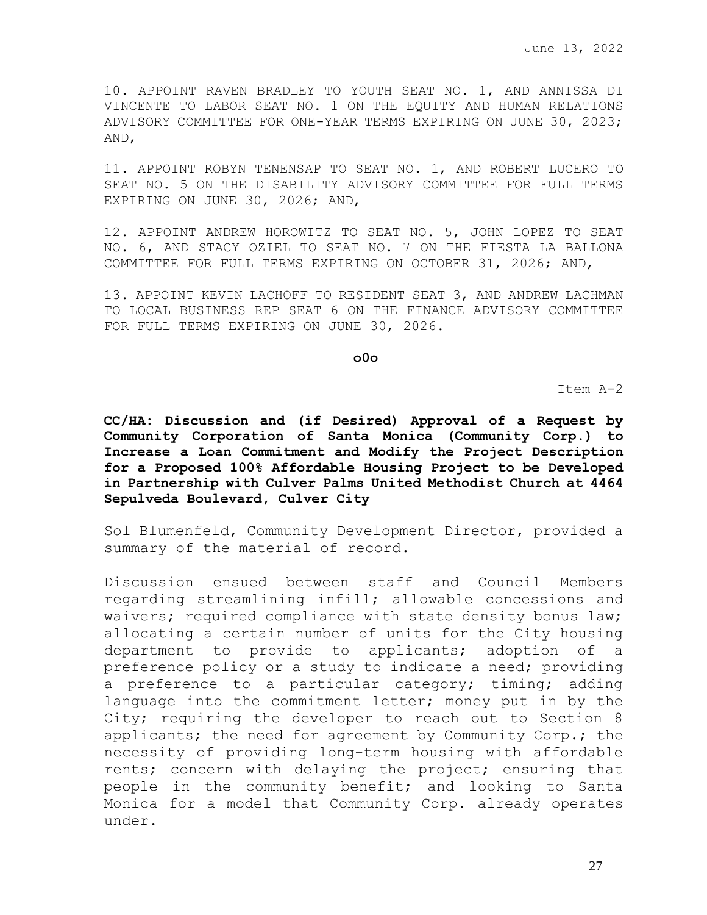10. APPOINT RAVEN BRADLEY TO YOUTH SEAT NO. 1, AND ANNISSA DI VINCENTE TO LABOR SEAT NO. 1 ON THE EQUITY AND HUMAN RELATIONS ADVISORY COMMITTEE FOR ONE-YEAR TERMS EXPIRING ON JUNE 30, 2023; AND,

11. APPOINT ROBYN TENENSAP TO SEAT NO. 1, AND ROBERT LUCERO TO SEAT NO. 5 ON THE DISABILITY ADVISORY COMMITTEE FOR FULL TERMS EXPIRING ON JUNE 30, 2026; AND,

12. APPOINT ANDREW HOROWITZ TO SEAT NO. 5, JOHN LOPEZ TO SEAT NO. 6, AND STACY OZIEL TO SEAT NO. 7 ON THE FIESTA LA BALLONA COMMITTEE FOR FULL TERMS EXPIRING ON OCTOBER 31, 2026; AND,

13. APPOINT KEVIN LACHOFF TO RESIDENT SEAT 3, AND ANDREW LACHMAN TO LOCAL BUSINESS REP SEAT 6 ON THE FINANCE ADVISORY COMMITTEE FOR FULL TERMS EXPIRING ON JUNE 30, 2026.

**o0o**

#### Item A-2

**CC/HA: Discussion and (if Desired) Approval of a Request by Community Corporation of Santa Monica (Community Corp.) to Increase a Loan Commitment and Modify the Project Description for a Proposed 100% Affordable Housing Project to be Developed in Partnership with Culver Palms United Methodist Church at 4464 Sepulveda Boulevard, Culver City**

Sol Blumenfeld, Community Development Director, provided a summary of the material of record.

Discussion ensued between staff and Council Members regarding streamlining infill; allowable concessions and waivers; required compliance with state density bonus law; allocating a certain number of units for the City housing department to provide to applicants; adoption of a preference policy or a study to indicate a need; providing a preference to a particular category; timing; adding language into the commitment letter; money put in by the City; requiring the developer to reach out to Section 8 applicants; the need for agreement by Community Corp.; the necessity of providing long-term housing with affordable rents; concern with delaying the project; ensuring that people in the community benefit; and looking to Santa Monica for a model that Community Corp. already operates under.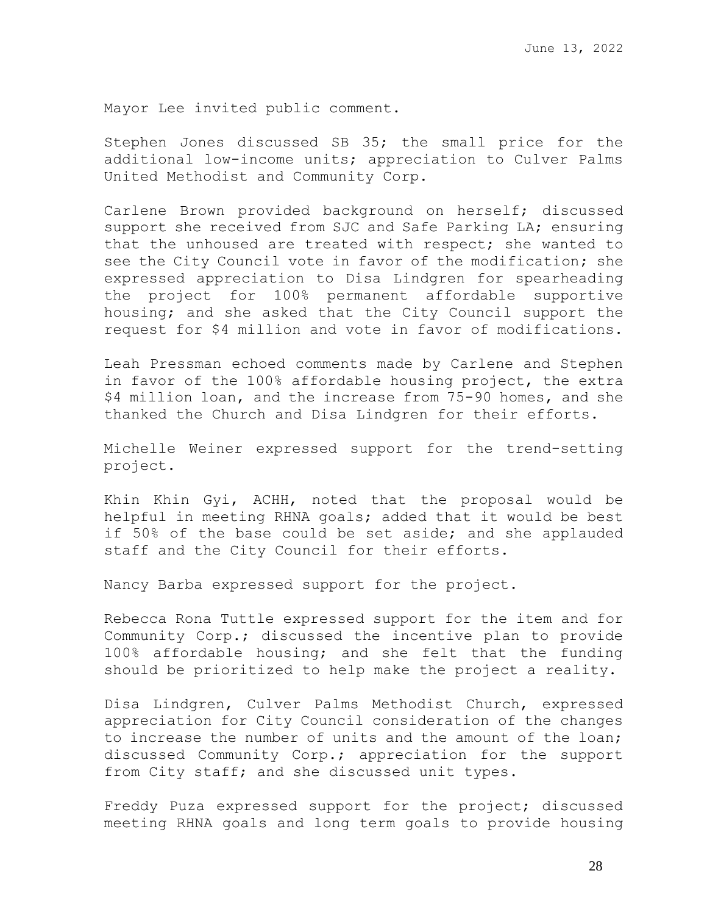Mayor Lee invited public comment.

Stephen Jones discussed SB 35; the small price for the additional low-income units; appreciation to Culver Palms United Methodist and Community Corp.

Carlene Brown provided background on herself; discussed support she received from SJC and Safe Parking LA; ensuring that the unhoused are treated with respect; she wanted to see the City Council vote in favor of the modification; she expressed appreciation to Disa Lindgren for spearheading the project for 100% permanent affordable supportive housing; and she asked that the City Council support the request for \$4 million and vote in favor of modifications.

Leah Pressman echoed comments made by Carlene and Stephen in favor of the 100% affordable housing project, the extra \$4 million loan, and the increase from 75-90 homes, and she thanked the Church and Disa Lindgren for their efforts.

Michelle Weiner expressed support for the trend-setting project.

Khin Khin Gyi, ACHH, noted that the proposal would be helpful in meeting RHNA goals; added that it would be best if 50% of the base could be set aside; and she applauded staff and the City Council for their efforts.

Nancy Barba expressed support for the project.

Rebecca Rona Tuttle expressed support for the item and for Community Corp.; discussed the incentive plan to provide 100% affordable housing; and she felt that the funding should be prioritized to help make the project a reality.

Disa Lindgren, Culver Palms Methodist Church, expressed appreciation for City Council consideration of the changes to increase the number of units and the amount of the loan; discussed Community Corp.; appreciation for the support from City staff; and she discussed unit types.

Freddy Puza expressed support for the project; discussed meeting RHNA goals and long term goals to provide housing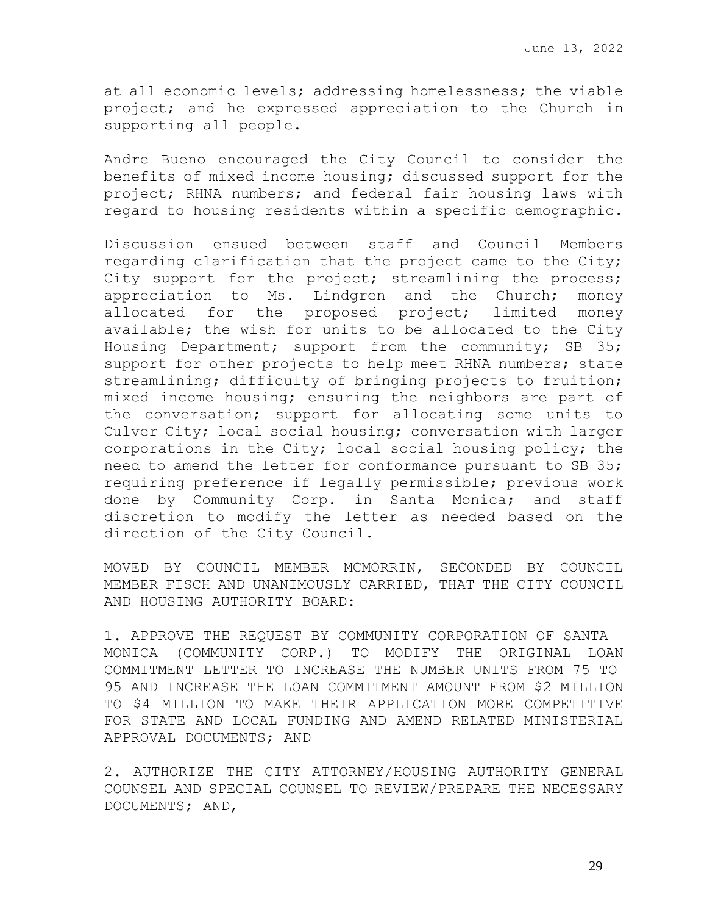at all economic levels; addressing homelessness; the viable project; and he expressed appreciation to the Church in supporting all people.

Andre Bueno encouraged the City Council to consider the benefits of mixed income housing; discussed support for the project; RHNA numbers; and federal fair housing laws with regard to housing residents within a specific demographic.

Discussion ensued between staff and Council Members regarding clarification that the project came to the City; City support for the project; streamlining the process; appreciation to Ms. Lindgren and the Church; money allocated for the proposed project; limited money available; the wish for units to be allocated to the City Housing Department; support from the community; SB 35; support for other projects to help meet RHNA numbers; state streamlining; difficulty of bringing projects to fruition; mixed income housing; ensuring the neighbors are part of the conversation; support for allocating some units to Culver City; local social housing; conversation with larger corporations in the City; local social housing policy; the need to amend the letter for conformance pursuant to SB 35; requiring preference if legally permissible; previous work done by Community Corp. in Santa Monica; and staff discretion to modify the letter as needed based on the direction of the City Council.

MOVED BY COUNCIL MEMBER MCMORRIN, SECONDED BY COUNCIL MEMBER FISCH AND UNANIMOUSLY CARRIED, THAT THE CITY COUNCIL AND HOUSING AUTHORITY BOARD:

1. APPROVE THE REQUEST BY COMMUNITY CORPORATION OF SANTA MONICA (COMMUNITY CORP.) TO MODIFY THE ORIGINAL LOAN COMMITMENT LETTER TO INCREASE THE NUMBER UNITS FROM 75 TO 95 AND INCREASE THE LOAN COMMITMENT AMOUNT FROM \$2 MILLION TO \$4 MILLION TO MAKE THEIR APPLICATION MORE COMPETITIVE FOR STATE AND LOCAL FUNDING AND AMEND RELATED MINISTERIAL APPROVAL DOCUMENTS; AND

2. AUTHORIZE THE CITY ATTORNEY/HOUSING AUTHORITY GENERAL COUNSEL AND SPECIAL COUNSEL TO REVIEW/PREPARE THE NECESSARY DOCUMENTS; AND,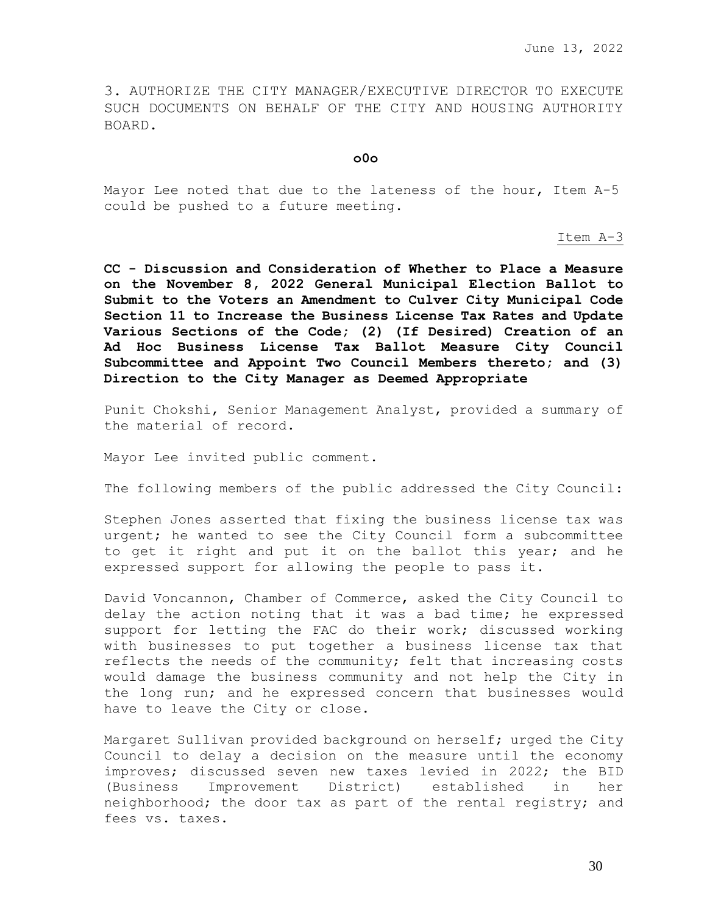3. AUTHORIZE THE CITY MANAGER/EXECUTIVE DIRECTOR TO EXECUTE SUCH DOCUMENTS ON BEHALF OF THE CITY AND HOUSING AUTHORITY BOARD.

**o0o**

Mayor Lee noted that due to the lateness of the hour, Item A-5 could be pushed to a future meeting.

Item A-3

**CC - Discussion and Consideration of Whether to Place a Measure on the November 8, 2022 General Municipal Election Ballot to Submit to the Voters an Amendment to Culver City Municipal Code Section 11 to Increase the Business License Tax Rates and Update Various Sections of the Code; (2) (If Desired) Creation of an Ad Hoc Business License Tax Ballot Measure City Council Subcommittee and Appoint Two Council Members thereto; and (3) Direction to the City Manager as Deemed Appropriate** 

Punit Chokshi, Senior Management Analyst, provided a summary of the material of record.

Mayor Lee invited public comment.

The following members of the public addressed the City Council:

Stephen Jones asserted that fixing the business license tax was urgent; he wanted to see the City Council form a subcommittee to get it right and put it on the ballot this year; and he expressed support for allowing the people to pass it.

David Voncannon, Chamber of Commerce, asked the City Council to delay the action noting that it was a bad time; he expressed support for letting the FAC do their work; discussed working with businesses to put together a business license tax that reflects the needs of the community; felt that increasing costs would damage the business community and not help the City in the long run; and he expressed concern that businesses would have to leave the City or close.

Margaret Sullivan provided background on herself; urged the City Council to delay a decision on the measure until the economy improves; discussed seven new taxes levied in 2022; the BID (Business Improvement District) established in her neighborhood; the door tax as part of the rental registry; and fees vs. taxes.

30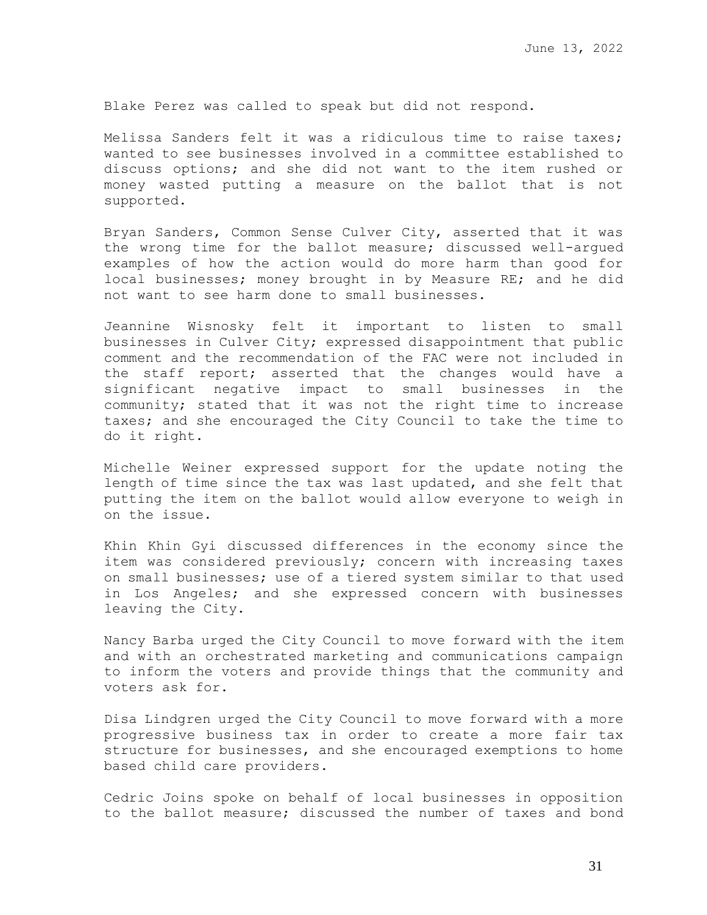Blake Perez was called to speak but did not respond.

Melissa Sanders felt it was a ridiculous time to raise taxes; wanted to see businesses involved in a committee established to discuss options; and she did not want to the item rushed or money wasted putting a measure on the ballot that is not supported.

Bryan Sanders, Common Sense Culver City, asserted that it was the wrong time for the ballot measure; discussed well-argued examples of how the action would do more harm than good for local businesses; money brought in by Measure RE; and he did not want to see harm done to small businesses.

Jeannine Wisnosky felt it important to listen to small businesses in Culver City; expressed disappointment that public comment and the recommendation of the FAC were not included in the staff report; asserted that the changes would have a significant negative impact to small businesses in the community; stated that it was not the right time to increase taxes; and she encouraged the City Council to take the time to do it right.

Michelle Weiner expressed support for the update noting the length of time since the tax was last updated, and she felt that putting the item on the ballot would allow everyone to weigh in on the issue.

Khin Khin Gyi discussed differences in the economy since the item was considered previously; concern with increasing taxes on small businesses; use of a tiered system similar to that used in Los Angeles; and she expressed concern with businesses leaving the City.

Nancy Barba urged the City Council to move forward with the item and with an orchestrated marketing and communications campaign to inform the voters and provide things that the community and voters ask for.

Disa Lindgren urged the City Council to move forward with a more progressive business tax in order to create a more fair tax structure for businesses, and she encouraged exemptions to home based child care providers.

Cedric Joins spoke on behalf of local businesses in opposition to the ballot measure; discussed the number of taxes and bond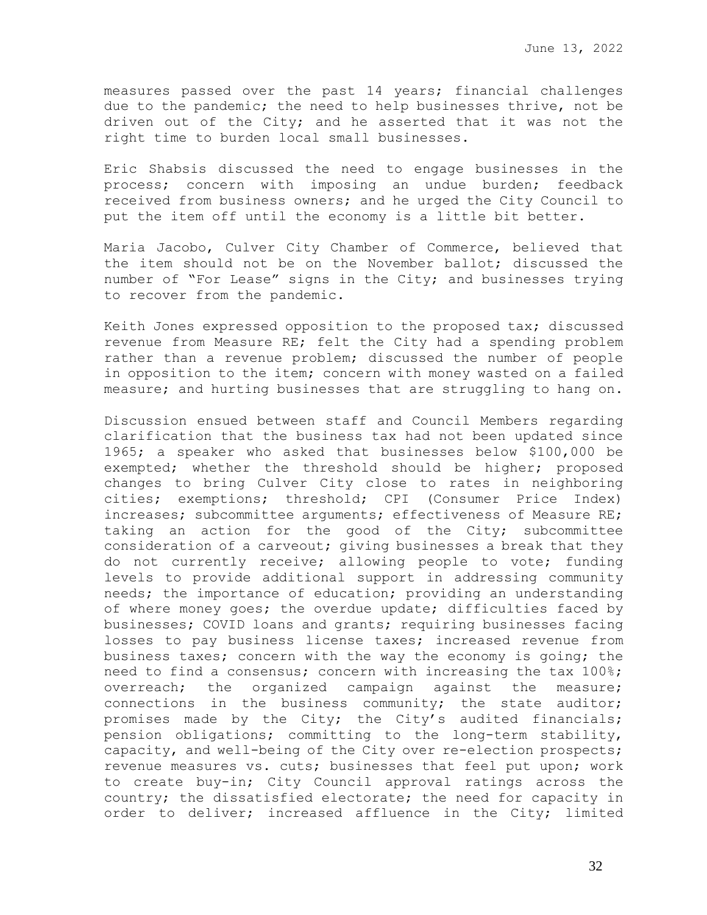measures passed over the past 14 years; financial challenges due to the pandemic; the need to help businesses thrive, not be driven out of the City; and he asserted that it was not the right time to burden local small businesses.

Eric Shabsis discussed the need to engage businesses in the process; concern with imposing an undue burden; feedback received from business owners; and he urged the City Council to put the item off until the economy is a little bit better.

Maria Jacobo, Culver City Chamber of Commerce, believed that the item should not be on the November ballot; discussed the number of "For Lease" signs in the City; and businesses trying to recover from the pandemic.

Keith Jones expressed opposition to the proposed tax; discussed revenue from Measure RE; felt the City had a spending problem rather than a revenue problem; discussed the number of people in opposition to the item; concern with money wasted on a failed measure; and hurting businesses that are struggling to hang on.

Discussion ensued between staff and Council Members regarding clarification that the business tax had not been updated since 1965; a speaker who asked that businesses below \$100,000 be exempted; whether the threshold should be higher; proposed changes to bring Culver City close to rates in neighboring cities; exemptions; threshold; CPI (Consumer Price Index) increases; subcommittee arguments; effectiveness of Measure RE; taking an action for the good of the City; subcommittee consideration of a carveout; giving businesses a break that they do not currently receive; allowing people to vote; funding levels to provide additional support in addressing community needs; the importance of education; providing an understanding of where money goes; the overdue update; difficulties faced by businesses; COVID loans and grants; requiring businesses facing losses to pay business license taxes; increased revenue from business taxes; concern with the way the economy is going; the need to find a consensus; concern with increasing the tax 100%; overreach; the organized campaign against the measure; connections in the business community; the state auditor; promises made by the City; the City's audited financials; pension obligations; committing to the long-term stability, capacity, and well-being of the City over re-election prospects; revenue measures vs. cuts; businesses that feel put upon; work to create buy-in; City Council approval ratings across the country; the dissatisfied electorate; the need for capacity in order to deliver; increased affluence in the City; limited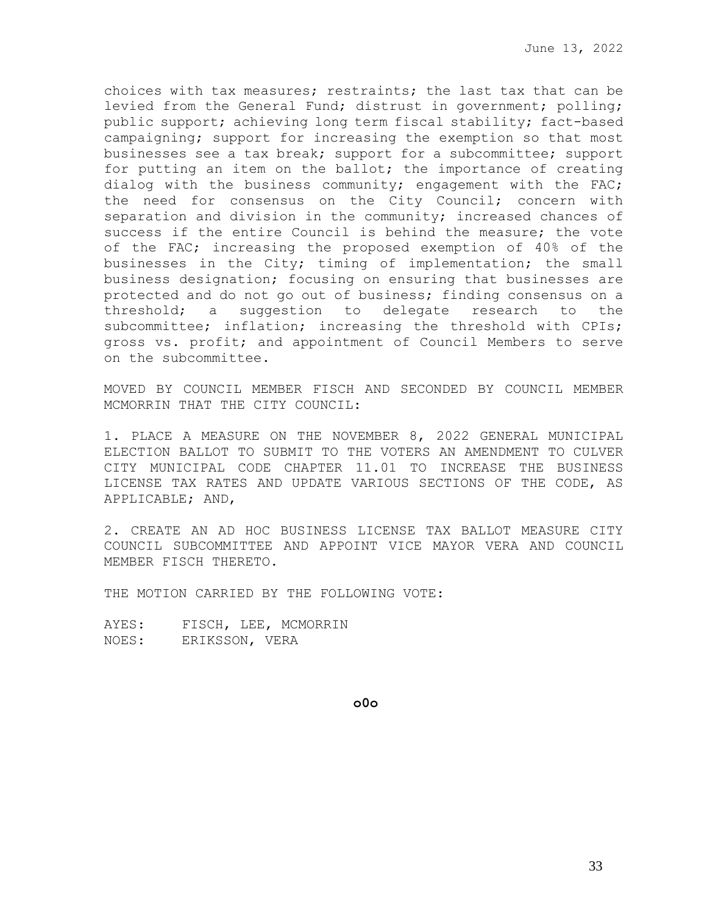choices with tax measures; restraints; the last tax that can be levied from the General Fund; distrust in government; polling; public support; achieving long term fiscal stability; fact-based campaigning; support for increasing the exemption so that most businesses see a tax break; support for a subcommittee; support for putting an item on the ballot; the importance of creating dialog with the business community; engagement with the FAC; the need for consensus on the City Council; concern with separation and division in the community; increased chances of success if the entire Council is behind the measure; the vote of the FAC; increasing the proposed exemption of 40% of the businesses in the City; timing of implementation; the small business designation; focusing on ensuring that businesses are protected and do not go out of business; finding consensus on a threshold; a suggestion to delegate research to the subcommittee; inflation; increasing the threshold with CPIs; gross vs. profit; and appointment of Council Members to serve on the subcommittee.

MOVED BY COUNCIL MEMBER FISCH AND SECONDED BY COUNCIL MEMBER MCMORRIN THAT THE CITY COUNCIL:

1. PLACE A MEASURE ON THE NOVEMBER 8, 2022 GENERAL MUNICIPAL ELECTION BALLOT TO SUBMIT TO THE VOTERS AN AMENDMENT TO CULVER CITY MUNICIPAL CODE CHAPTER 11.01 TO INCREASE THE BUSINESS LICENSE TAX RATES AND UPDATE VARIOUS SECTIONS OF THE CODE, AS APPLICABLE; AND,

2. CREATE AN AD HOC BUSINESS LICENSE TAX BALLOT MEASURE CITY COUNCIL SUBCOMMITTEE AND APPOINT VICE MAYOR VERA AND COUNCIL MEMBER FISCH THERETO.

THE MOTION CARRIED BY THE FOLLOWING VOTE:

AYES: FISCH, LEE, MCMORRIN NOES: ERIKSSON, VERA

**o0o**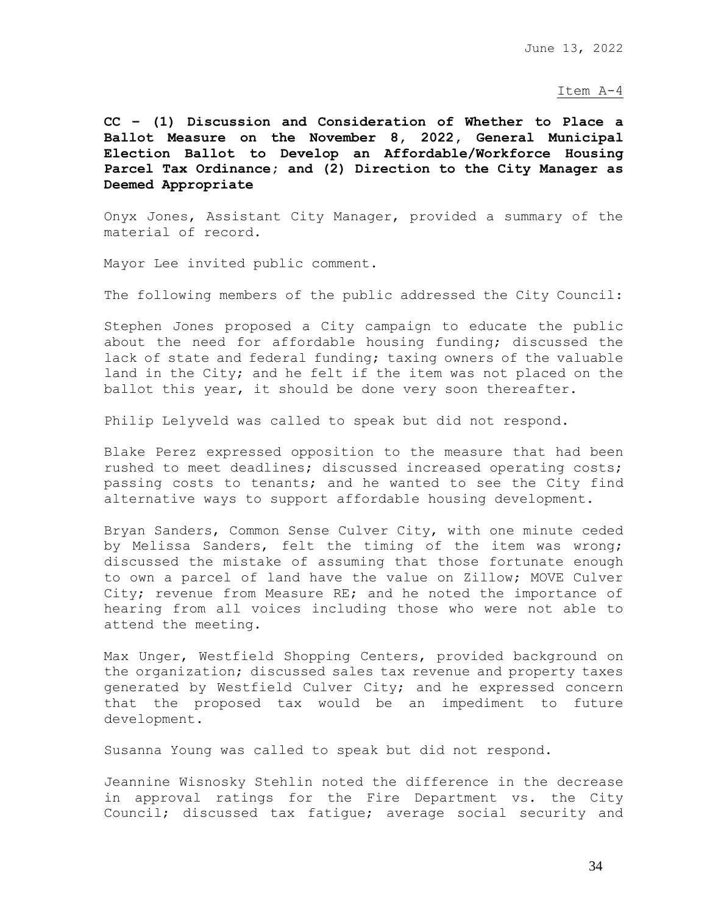### Item A-4

**CC – (1) Discussion and Consideration of Whether to Place a Ballot Measure on the November 8, 2022, General Municipal Election Ballot to Develop an Affordable/Workforce Housing Parcel Tax Ordinance; and (2) Direction to the City Manager as Deemed Appropriate**

Onyx Jones, Assistant City Manager, provided a summary of the material of record.

Mayor Lee invited public comment.

The following members of the public addressed the City Council:

Stephen Jones proposed a City campaign to educate the public about the need for affordable housing funding; discussed the lack of state and federal funding; taxing owners of the valuable land in the City; and he felt if the item was not placed on the ballot this year, it should be done very soon thereafter.

Philip Lelyveld was called to speak but did not respond.

Blake Perez expressed opposition to the measure that had been rushed to meet deadlines; discussed increased operating costs; passing costs to tenants; and he wanted to see the City find alternative ways to support affordable housing development.

Bryan Sanders, Common Sense Culver City, with one minute ceded by Melissa Sanders, felt the timing of the item was wrong; discussed the mistake of assuming that those fortunate enough to own a parcel of land have the value on Zillow; MOVE Culver City; revenue from Measure RE; and he noted the importance of hearing from all voices including those who were not able to attend the meeting.

Max Unger, Westfield Shopping Centers, provided background on the organization; discussed sales tax revenue and property taxes generated by Westfield Culver City; and he expressed concern that the proposed tax would be an impediment to future development.

Susanna Young was called to speak but did not respond.

Jeannine Wisnosky Stehlin noted the difference in the decrease in approval ratings for the Fire Department vs. the City Council; discussed tax fatigue; average social security and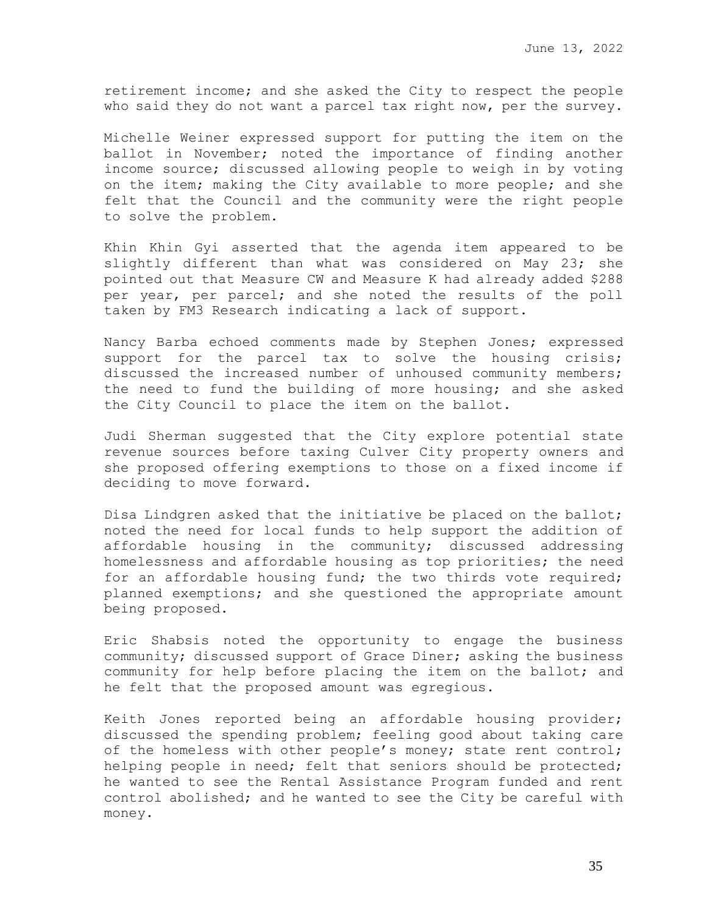retirement income; and she asked the City to respect the people who said they do not want a parcel tax right now, per the survey.

Michelle Weiner expressed support for putting the item on the ballot in November; noted the importance of finding another income source; discussed allowing people to weigh in by voting on the item; making the City available to more people; and she felt that the Council and the community were the right people to solve the problem.

Khin Khin Gyi asserted that the agenda item appeared to be slightly different than what was considered on May 23; she pointed out that Measure CW and Measure K had already added \$288 per year, per parcel; and she noted the results of the poll taken by FM3 Research indicating a lack of support.

Nancy Barba echoed comments made by Stephen Jones; expressed support for the parcel tax to solve the housing crisis; discussed the increased number of unhoused community members; the need to fund the building of more housing; and she asked the City Council to place the item on the ballot.

Judi Sherman suggested that the City explore potential state revenue sources before taxing Culver City property owners and she proposed offering exemptions to those on a fixed income if deciding to move forward.

Disa Lindgren asked that the initiative be placed on the ballot; noted the need for local funds to help support the addition of affordable housing in the community; discussed addressing homelessness and affordable housing as top priorities; the need for an affordable housing fund; the two thirds vote required; planned exemptions; and she questioned the appropriate amount being proposed.

Eric Shabsis noted the opportunity to engage the business community; discussed support of Grace Diner; asking the business community for help before placing the item on the ballot; and he felt that the proposed amount was egregious.

Keith Jones reported being an affordable housing provider; discussed the spending problem; feeling good about taking care of the homeless with other people's money; state rent control; helping people in need; felt that seniors should be protected; he wanted to see the Rental Assistance Program funded and rent control abolished; and he wanted to see the City be careful with money.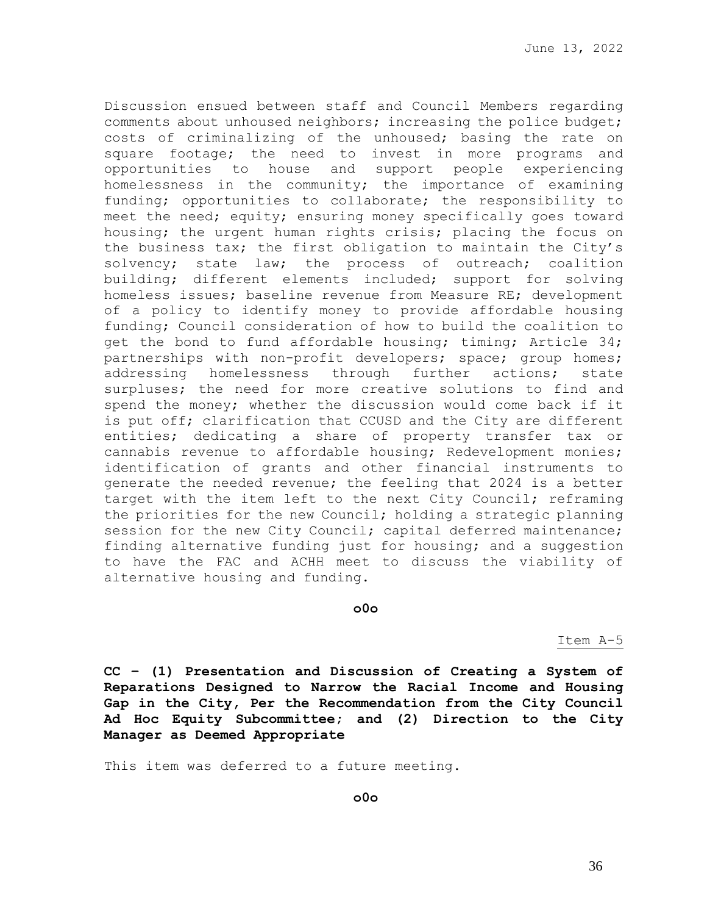Discussion ensued between staff and Council Members regarding comments about unhoused neighbors; increasing the police budget; costs of criminalizing of the unhoused; basing the rate on square footage; the need to invest in more programs and opportunities to house and support people experiencing homelessness in the community; the importance of examining funding; opportunities to collaborate; the responsibility to meet the need; equity; ensuring money specifically goes toward housing; the urgent human rights crisis; placing the focus on the business tax; the first obligation to maintain the City's solvency; state law; the process of outreach; coalition building; different elements included; support for solving homeless issues; baseline revenue from Measure RE; development of a policy to identify money to provide affordable housing funding; Council consideration of how to build the coalition to get the bond to fund affordable housing; timing; Article 34; partnerships with non-profit developers; space; group homes; addressing homelessness through further actions; state surpluses; the need for more creative solutions to find and spend the money; whether the discussion would come back if it is put off; clarification that CCUSD and the City are different entities; dedicating a share of property transfer tax or cannabis revenue to affordable housing; Redevelopment monies; identification of grants and other financial instruments to generate the needed revenue; the feeling that 2024 is a better target with the item left to the next City Council; reframing the priorities for the new Council; holding a strategic planning session for the new City Council; capital deferred maintenance; finding alternative funding just for housing; and a suggestion to have the FAC and ACHH meet to discuss the viability of alternative housing and funding.

## **o0o**

Item A-5

**CC – (1) Presentation and Discussion of Creating a System of Reparations Designed to Narrow the Racial Income and Housing Gap in the City, Per the Recommendation from the City Council Ad Hoc Equity Subcommittee; and (2) Direction to the City Manager as Deemed Appropriate**

This item was deferred to a future meeting.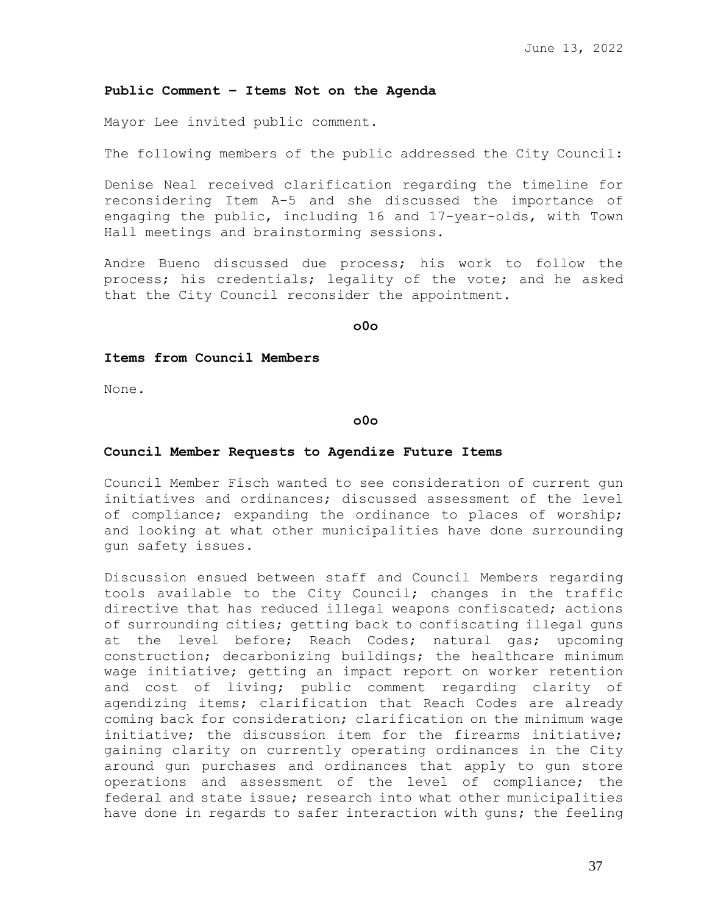#### **Public Comment – Items Not on the Agenda**

Mayor Lee invited public comment.

The following members of the public addressed the City Council:

Denise Neal received clarification regarding the timeline for reconsidering Item A-5 and she discussed the importance of engaging the public, including 16 and 17-year-olds, with Town Hall meetings and brainstorming sessions.

Andre Bueno discussed due process; his work to follow the process; his credentials; legality of the vote; and he asked that the City Council reconsider the appointment.

**o0o**

## **Items from Council Members**

None.

## **o0o**

### **Council Member Requests to Agendize Future Items**

Council Member Fisch wanted to see consideration of current gun initiatives and ordinances; discussed assessment of the level of compliance; expanding the ordinance to places of worship; and looking at what other municipalities have done surrounding gun safety issues.

Discussion ensued between staff and Council Members regarding tools available to the City Council; changes in the traffic directive that has reduced illegal weapons confiscated; actions of surrounding cities; getting back to confiscating illegal guns at the level before; Reach Codes; natural gas; upcoming construction; decarbonizing buildings; the healthcare minimum wage initiative; getting an impact report on worker retention and cost of living; public comment regarding clarity of agendizing items; clarification that Reach Codes are already coming back for consideration; clarification on the minimum wage initiative; the discussion item for the firearms initiative; gaining clarity on currently operating ordinances in the City around gun purchases and ordinances that apply to gun store operations and assessment of the level of compliance; the federal and state issue; research into what other municipalities have done in regards to safer interaction with guns; the feeling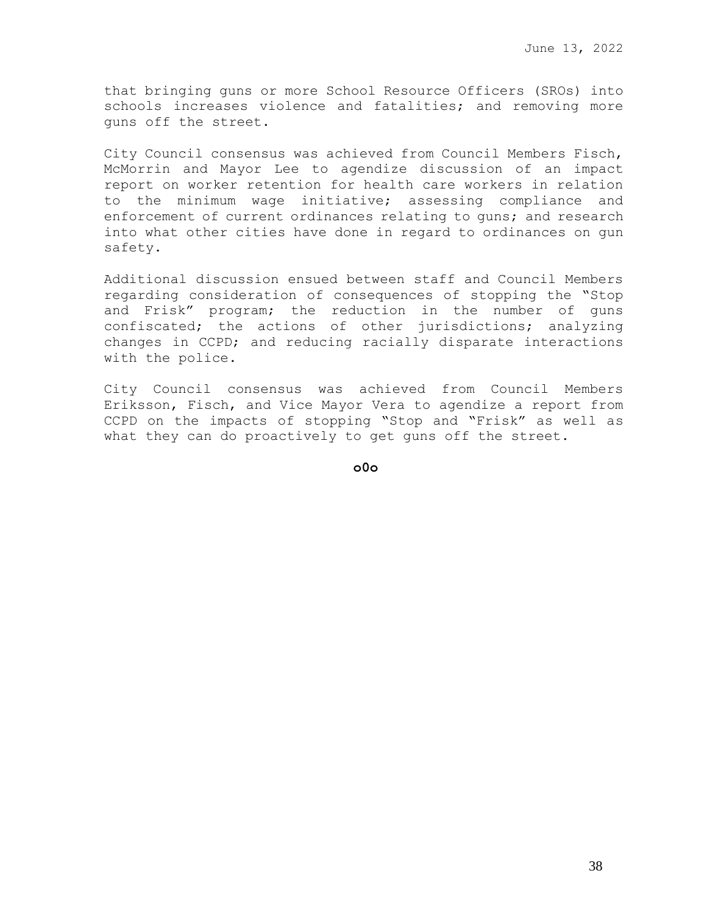that bringing guns or more School Resource Officers (SROs) into schools increases violence and fatalities; and removing more guns off the street.

City Council consensus was achieved from Council Members Fisch, McMorrin and Mayor Lee to agendize discussion of an impact report on worker retention for health care workers in relation to the minimum wage initiative; assessing compliance and enforcement of current ordinances relating to guns; and research into what other cities have done in regard to ordinances on gun safety.

Additional discussion ensued between staff and Council Members regarding consideration of consequences of stopping the "Stop and Frisk" program; the reduction in the number of guns confiscated; the actions of other jurisdictions; analyzing changes in CCPD; and reducing racially disparate interactions with the police.

City Council consensus was achieved from Council Members Eriksson, Fisch, and Vice Mayor Vera to agendize a report from CCPD on the impacts of stopping "Stop and "Frisk" as well as what they can do proactively to get guns off the street.

**o0o**